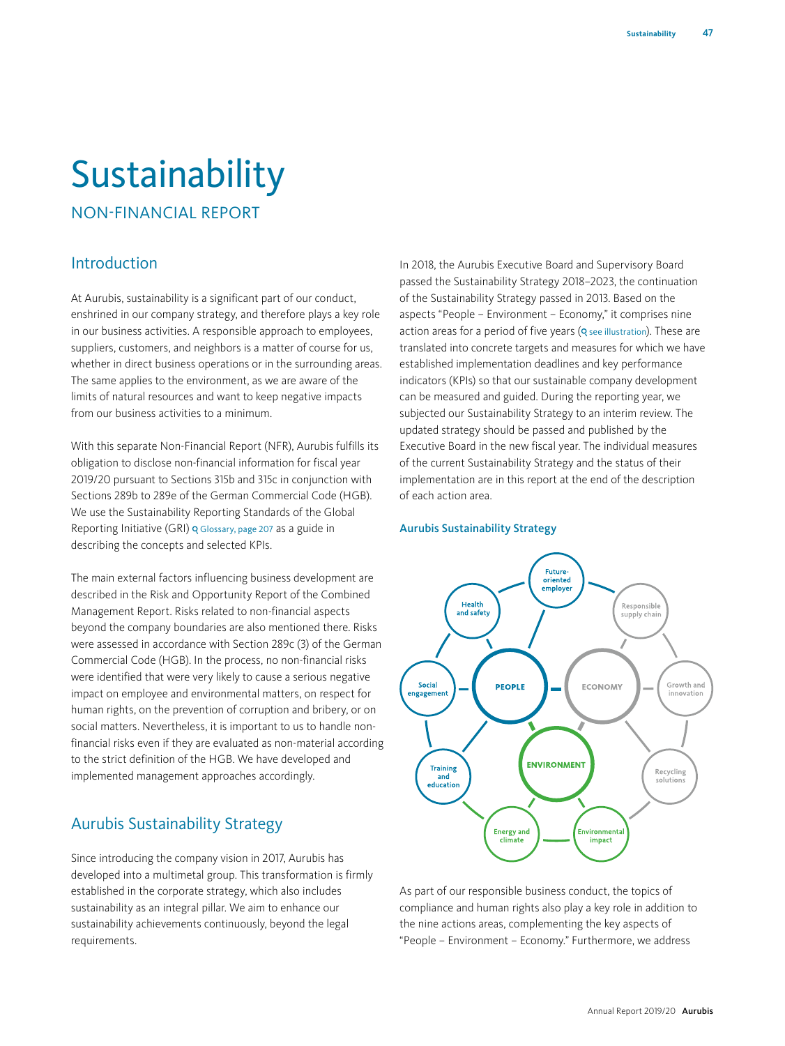# Sustainability

NON-FINANCIAL REPORT

# Introduction

At Aurubis, sustainability is a significant part of our conduct, enshrined in our company strategy, and therefore plays a key role in our business activities. A responsible approach to employees, suppliers, customers, and neighbors is a matter of course for us, whether in direct business operations or in the surrounding areas. The same applies to the environment, as we are aware of the limits of natural resources and want to keep negative impacts from our business activities to a minimum.

With this separate Non-Financial Report (NFR), Aurubis fulfills its obligation to disclose non-financial information for fiscal year 2019/20 pursuant to Sections 315b and 315c in conjunction with Sections 289b to 289e of the German Commercial Code (HGB). We use the Sustainability Reporting Standards of the Global Reporting Initiative (GRI) o Glossary, page 207 as a guide in describing the concepts and selected KPIs.

The main external factors influencing business development are described in the Risk and Opportunity Report of the Combined Management Report. Risks related to non-financial aspects beyond the company boundaries are also mentioned there. Risks were assessed in accordance with Section 289c (3) of the German Commercial Code (HGB). In the process, no non-financial risks were identified that were very likely to cause a serious negative impact on employee and environmental matters, on respect for human rights, on the prevention of corruption and bribery, or on social matters. Nevertheless, it is important to us to handle nonfinancial risks even if they are evaluated as non-material according to the strict definition of the HGB. We have developed and implemented management approaches accordingly.

# Aurubis Sustainability Strategy

Since introducing the company vision in 2017, Aurubis has developed into a multimetal group. This transformation is firmly established in the corporate strategy, which also includes sustainability as an integral pillar. We aim to enhance our sustainability achievements continuously, beyond the legal requirements.

In 2018, the Aurubis Executive Board and Supervisory Board passed the Sustainability Strategy 2018–2023, the continuation of the Sustainability Strategy passed in 2013. Based on the aspects "People – Environment – Economy," it comprises nine action areas for a period of five years (**Q** see illustration). These are translated into concrete targets and measures for which we have established implementation deadlines and key performance indicators (KPIs) so that our sustainable company development can be measured and guided. During the reporting year, we subjected our Sustainability Strategy to an interim review. The updated strategy should be passed and published by the Executive Board in the new fiscal year. The individual measures of the current Sustainability Strategy and the status of their implementation are in this report at the end of the description of each action area.

## Aurubis Sustainability Strategy



As part of our responsible business conduct, the topics of compliance and human rights also play a key role in addition to the nine actions areas, complementing the key aspects of "People – Environment – Economy." Furthermore, we address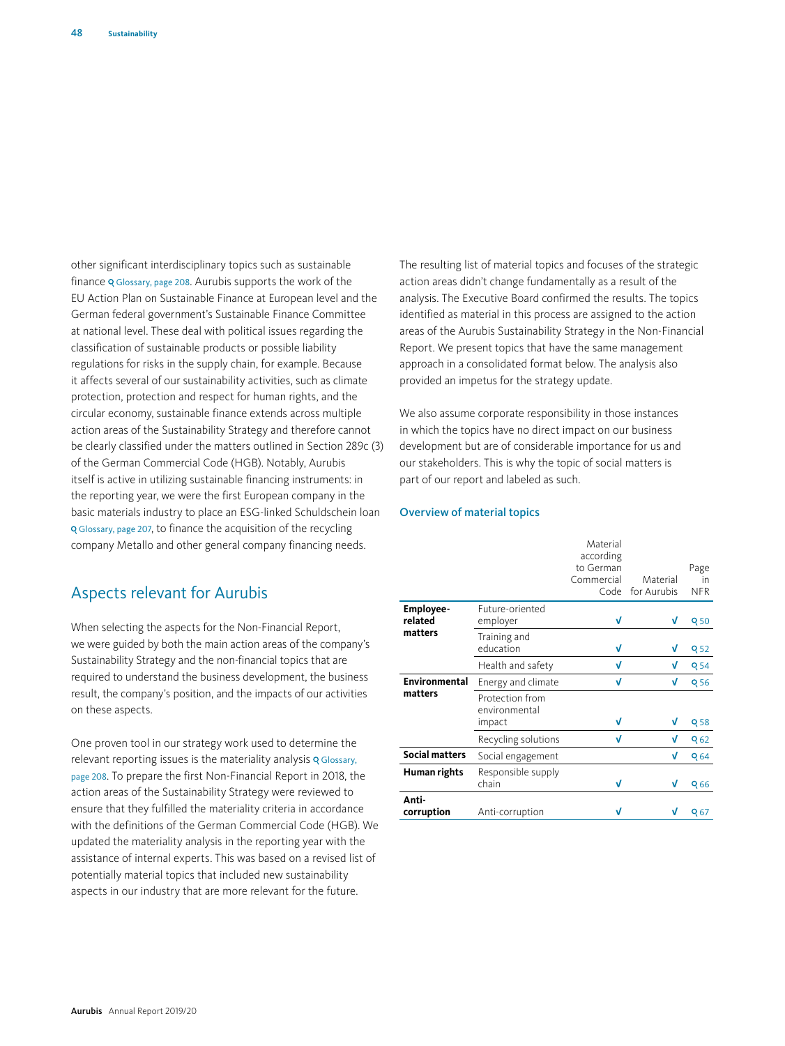other significant interdisciplinary topics such as sustainable finance Q Glossary, page 208. Aurubis supports the work of the EU Action Plan on Sustainable Finance at European level and the German federal government's Sustainable Finance Committee at national level. These deal with political issues regarding the classification of sustainable products or possible liability regulations for risks in the supply chain, for example. Because it affects several of our sustainability activities, such as climate protection, protection and respect for human rights, and the circular economy, sustainable finance extends across multiple action areas of the Sustainability Strategy and therefore cannot be clearly classified under the matters outlined in Section 289c (3) of the German Commercial Code (HGB). Notably, Aurubis itself is active in utilizing sustainable financing instruments: in the reporting year, we were the first European company in the basic materials industry to place an ESG-linked Schuldschein loan Glossary, page 207, to finance the acquisition of the recycling company Metallo and other general company financing needs.

# Aspects relevant for Aurubis

When selecting the aspects for the Non-Financial Report, we were guided by both the main action areas of the company's Sustainability Strategy and the non-financial topics that are required to understand the business development, the business result, the company's position, and the impacts of our activities on these aspects.

One proven tool in our strategy work used to determine the relevant reporting issues is the materiality analysis **Q** Glossary, page 208. To prepare the first Non-Financial Report in 2018, the action areas of the Sustainability Strategy were reviewed to ensure that they fulfilled the materiality criteria in accordance with the definitions of the German Commercial Code (HGB). We updated the materiality analysis in the reporting year with the assistance of internal experts. This was based on a revised list of potentially material topics that included new sustainability aspects in our industry that are more relevant for the future.

The resulting list of material topics and focuses of the strategic action areas didn't change fundamentally as a result of the analysis. The Executive Board confirmed the results. The topics identified as material in this process are assigned to the action areas of the Aurubis Sustainability Strategy in the Non-Financial Report. We present topics that have the same management approach in a consolidated format below. The analysis also provided an impetus for the strategy update.

We also assume corporate responsibility in those instances in which the topics have no direct impact on our business development but are of considerable importance for us and our stakeholders. This is why the topic of social matters is part of our report and labeled as such.

#### Overview of material topics

|                       |                                            | Material<br>according<br>to German<br>Commercial<br>Code | Material<br>for Aurubis | Page<br>in<br><b>NFR</b> |
|-----------------------|--------------------------------------------|----------------------------------------------------------|-------------------------|--------------------------|
| Employee-<br>related  | Future-oriented<br>employer                | V                                                        | V                       | Q 50                     |
| matters               | Training and<br>education                  | V                                                        | v                       | <b>Q52</b>               |
|                       | Health and safety                          | V                                                        | V                       | <b>Q54</b>               |
| Environmental         | Energy and climate                         | V                                                        | V                       | Q <sub>56</sub>          |
| matters               | Protection from<br>environmental<br>impact | V                                                        | v                       | <b>Q58</b>               |
|                       | Recycling solutions                        | V                                                        | V                       | Q <sub>62</sub>          |
| <b>Social matters</b> | Social engagement                          |                                                          | V                       | Q 64                     |
| Human rights          | Responsible supply<br>chain                | V                                                        | v                       | Q66                      |
| Anti-<br>corruption   | Anti-corruption                            |                                                          |                         | Q <sub>67</sub>          |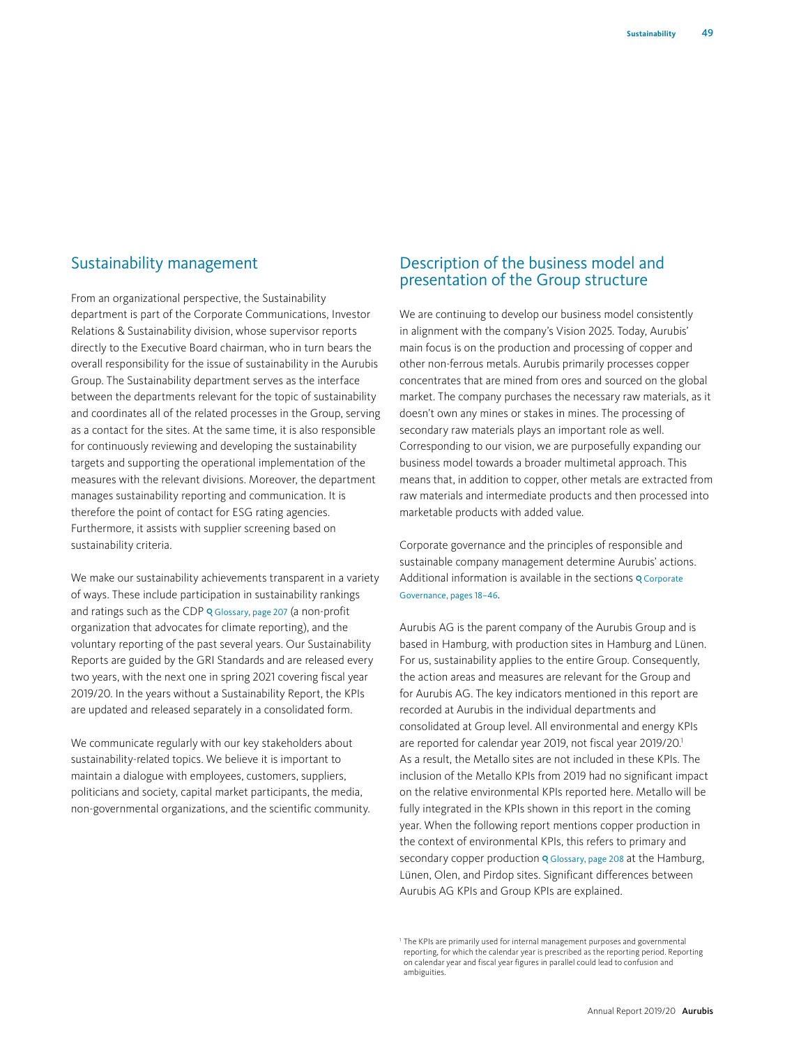# Sustainability management

From an organizational perspective, the Sustainability department is part of the Corporate Communications, Investor Relations & Sustainability division, whose supervisor reports directly to the Executive Board chairman, who in turn bears the overall responsibility for the issue of sustainability in the Aurubis Group. The Sustainability department serves as the interface between the departments relevant for the topic of sustainability and coordinates all of the related processes in the Group, serving as a contact for the sites. At the same time, it is also responsible for continuously reviewing and developing the sustainability targets and supporting the operational implementation of the measures with the relevant divisions. Moreover, the department manages sustainability reporting and communication. It is therefore the point of contact for ESG rating agencies. Furthermore, it assists with supplier screening based on sustainability criteria.

We make our sustainability achievements transparent in a variety of ways. These include participation in sustainability rankings and ratings such as the CDP o Glossary, page 207 (a non-profit organization that advocates for climate reporting), and the voluntary reporting of the past several years. Our Sustainability Reports are guided by the GRI Standards and are released every two years, with the next one in spring 2021 covering fiscal year 2019/20. In the years without a Sustainability Report, the KPIs are updated and released separately in a consolidated form.

We communicate regularly with our key stakeholders about sustainability-related topics. We believe it is important to maintain a dialogue with employees, customers, suppliers, politicians and society, capital market participants, the media, non-governmental organizations, and the scientific community.

# Description of the business model and presentation of the Group structure

We are continuing to develop our business model consistently in alignment with the company's Vision 2025. Today, Aurubis' main focus is on the production and processing of copper and other non-ferrous metals. Aurubis primarily processes copper concentrates that are mined from ores and sourced on the global market. The company purchases the necessary raw materials, as it doesn't own any mines or stakes in mines. The processing of secondary raw materials plays an important role as well. Corresponding to our vision, we are purposefully expanding our business model towards a broader multimetal approach. This means that, in addition to copper, other metals are extracted from raw materials and intermediate products and then processed into marketable products with added value.

Corporate governance and the principles of responsible and sustainable company management determine Aurubis' actions. Additional information is available in the sections o Corporate Governance, pages 18–46.

Aurubis AG is the parent company of the Aurubis Group and is based in Hamburg, with production sites in Hamburg and Lünen. For us, sustainability applies to the entire Group. Consequently, the action areas and measures are relevant for the Group and for Aurubis AG. The key indicators mentioned in this report are recorded at Aurubis in the individual departments and consolidated at Group level. All environmental and energy KPIs are reported for calendar year 2019, not fiscal year 2019/20.<sup>1</sup> As a result, the Metallo sites are not included in these KPIs. The inclusion of the Metallo KPIs from 2019 had no significant impact on the relative environmental KPIs reported here. Metallo will be fully integrated in the KPIs shown in this report in the coming year. When the following report mentions copper production in the context of environmental KPIs, this refers to primary and secondary copper production Q Glossary, page 208 at the Hamburg, Lünen, Olen, and Pirdop sites. Significant differences between Aurubis AG KPIs and Group KPIs are explained.

<sup>&</sup>lt;sup>1</sup> The KPIs are primarily used for internal management purposes and governmental reporting, for which the calendar year is prescribed as the reporting period. Reporting on calendar year and fiscal year figures in parallel could lead to confusion and ambiguities.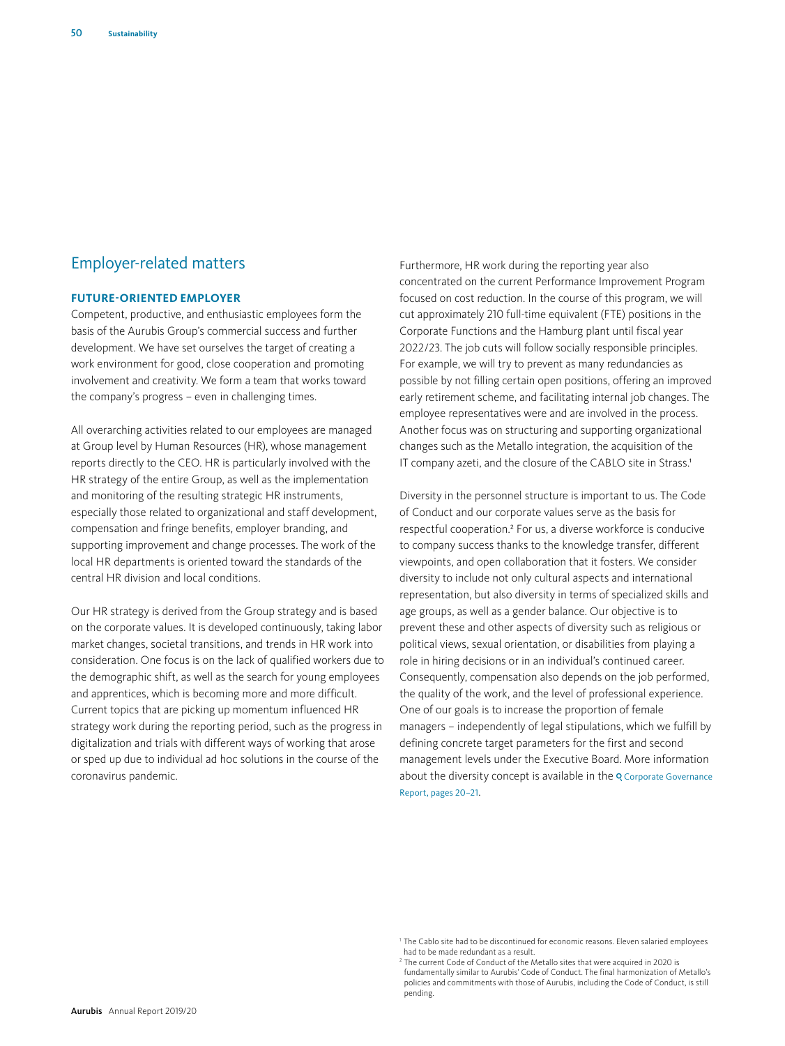# Employer-related matters

#### **FUTURE-ORIENTED EMPLOYER**

Competent, productive, and enthusiastic employees form the basis of the Aurubis Group's commercial success and further development. We have set ourselves the target of creating a work environment for good, close cooperation and promoting involvement and creativity. We form a team that works toward the company's progress – even in challenging times.

All overarching activities related to our employees are managed at Group level by Human Resources (HR), whose management reports directly to the CEO. HR is particularly involved with the HR strategy of the entire Group, as well as the implementation and monitoring of the resulting strategic HR instruments, especially those related to organizational and staff development, compensation and fringe benefits, employer branding, and supporting improvement and change processes. The work of the local HR departments is oriented toward the standards of the central HR division and local conditions.

Our HR strategy is derived from the Group strategy and is based on the corporate values. It is developed continuously, taking labor market changes, societal transitions, and trends in HR work into consideration. One focus is on the lack of qualified workers due to the demographic shift, as well as the search for young employees and apprentices, which is becoming more and more difficult. Current topics that are picking up momentum influenced HR strategy work during the reporting period, such as the progress in digitalization and trials with different ways of working that arose or sped up due to individual ad hoc solutions in the course of the coronavirus pandemic.

Furthermore, HR work during the reporting year also concentrated on the current Performance Improvement Program focused on cost reduction. In the course of this program, we will cut approximately 210 full-time equivalent (FTE) positions in the Corporate Functions and the Hamburg plant until fiscal year 2022/23. The job cuts will follow socially responsible principles. For example, we will try to prevent as many redundancies as possible by not filling certain open positions, offering an improved early retirement scheme, and facilitating internal job changes. The employee representatives were and are involved in the process. Another focus was on structuring and supporting organizational changes such as the Metallo integration, the acquisition of the IT company azeti, and the closure of the CABLO site in Strass.<sup>1</sup>

Diversity in the personnel structure is important to us. The Code of Conduct and our corporate values serve as the basis for respectful cooperation.2 For us, a diverse workforce is conducive to company success thanks to the knowledge transfer, different viewpoints, and open collaboration that it fosters. We consider diversity to include not only cultural aspects and international representation, but also diversity in terms of specialized skills and age groups, as well as a gender balance. Our objective is to prevent these and other aspects of diversity such as religious or political views, sexual orientation, or disabilities from playing a role in hiring decisions or in an individual's continued career. Consequently, compensation also depends on the job performed, the quality of the work, and the level of professional experience. One of our goals is to increase the proportion of female managers – independently of legal stipulations, which we fulfill by defining concrete target parameters for the first and second management levels under the Executive Board. More information about the diversity concept is available in the Q Corporate Governance Report, pages 20–21.

<sup>&</sup>lt;sup>1</sup> The Cablo site had to be discontinued for economic reasons. Eleven salaried employees had to be made redundant as a result.

<sup>&</sup>lt;sup>2</sup> The current Code of Conduct of the Metallo sites that were acquired in 2020 is fundamentally similar to Aurubis' Code of Conduct. The final harmonization of Metallo's policies and commitments with those of Aurubis, including the Code of Conduct, is still pending.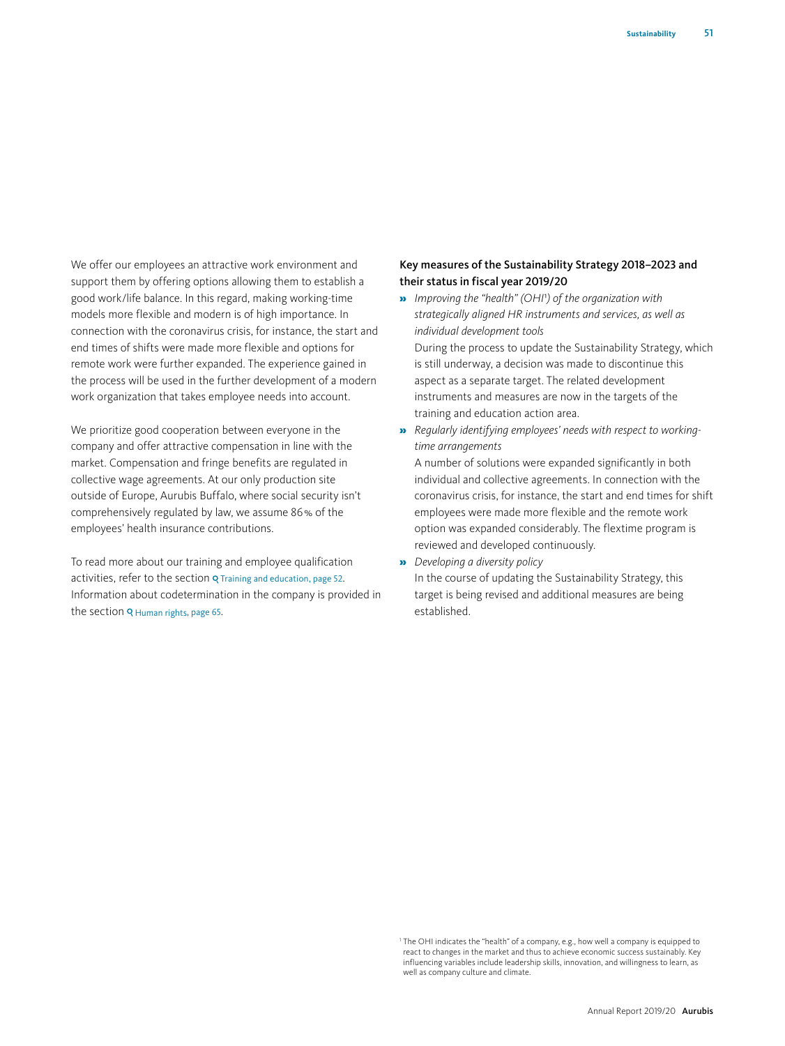We offer our employees an attractive work environment and support them by offering options allowing them to establish a good work/life balance. In this regard, making working-time models more flexible and modern is of high importance. In connection with the coronavirus crisis, for instance, the start and end times of shifts were made more flexible and options for remote work were further expanded. The experience gained in the process will be used in the further development of a modern work organization that takes employee needs into account.

We prioritize good cooperation between everyone in the company and offer attractive compensation in line with the market. Compensation and fringe benefits are regulated in collective wage agreements. At our only production site outside of Europe, Aurubis Buffalo, where social security isn't comprehensively regulated by law, we assume 86% of the employees' health insurance contributions.

To read more about our training and employee qualification activities, refer to the section Q Training and education, page 52. Information about codetermination in the company is provided in the section Q Human rights, page 65.

## Key measures of the Sustainability Strategy 2018–2023 and their status in fiscal year 2019/20

- » *Improving the "health" (OHI*1*) of the organization with strategically aligned HR instruments and services, as well as individual development tools* During the process to update the Sustainability Strategy, which is still underway, a decision was made to discontinue this aspect as a separate target. The related development instruments and measures are now in the targets of the training and education action area.
- » *Regularly identifying employees' needs with respect to workingtime arrangements*

A number of solutions were expanded significantly in both individual and collective agreements. In connection with the coronavirus crisis, for instance, the start and end times for shift employees were made more flexible and the remote work option was expanded considerably. The flextime program is reviewed and developed continuously.

» *Developing a diversity policy* In the course of updating the Sustainability Strategy, this target is being revised and additional measures are being established.

<sup>1</sup> The OHI indicates the "health" of a company, e.g., how well a company is equipped to react to changes in the market and thus to achieve economic success sustainably. Key influencing variables include leadership skills, innovation, and willingness to learn, as well as company culture and climate.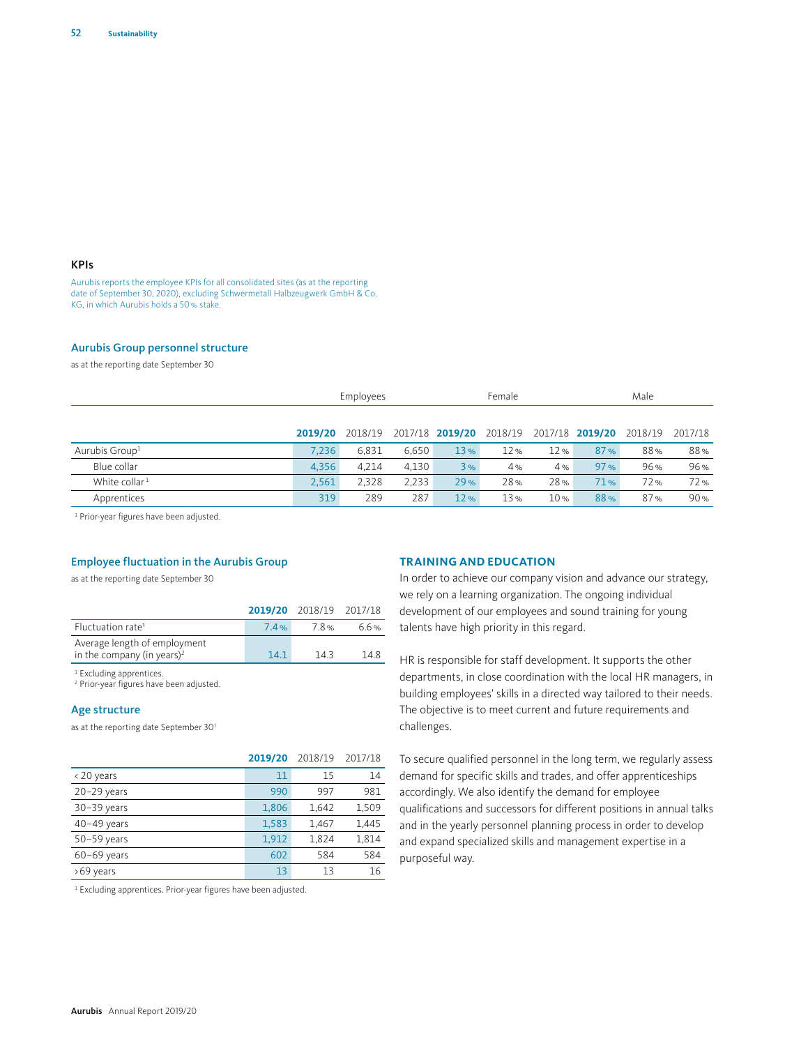## KPIs

Aurubis reports the employee KPIs for all consolidated sites (as at the reporting date of September 30, 2020), excluding Schwermetall Halbzeugwerk GmbH & Co. KG, in which Aurubis holds a 50% stake.

#### Aurubis Group personnel structure

as at the reporting date September 30

|                            | Employees |         |       |                 | Female  |     |                 | Male    |         |  |
|----------------------------|-----------|---------|-------|-----------------|---------|-----|-----------------|---------|---------|--|
|                            |           |         |       |                 |         |     |                 |         |         |  |
|                            | 2019/20   | 2018/19 |       | 2017/18 2019/20 | 2018/19 |     | 2017/18 2019/20 | 2018/19 | 2017/18 |  |
| Aurubis Group <sup>1</sup> | 7.236     | 6.831   | 6.650 | 13%             | 12%     | 12% | 87%             | 88%     | 88%     |  |
| Blue collar                | 4.356     | 4.214   | 4.130 | 3%              | 4%      | 4%  | 97%             | 96%     | 96%     |  |
| White collar <sup>1</sup>  | 2.561     | 2.328   | 2.233 | 29%             | 28%     | 28% | 71%             | 72%     | 72%     |  |
| Apprentices                | 319       | 289     | 287   | 12%             | 13%     | 10% | 88%             | 87%     | 90%     |  |

1 Prior-year figures have been adjusted.

## Employee fluctuation in the Aurubis Group

as at the reporting date September 30

|                                                                        |      | 2019/20 2018/19 2017/18 |      |
|------------------------------------------------------------------------|------|-------------------------|------|
| Fluctuation rate <sup>1</sup>                                          | 7.4% | 78%                     | 6.6% |
| Average length of employment<br>in the company (in years) <sup>2</sup> | 14.1 | 143                     | 148  |
|                                                                        |      |                         |      |

<sup>1</sup> Excluding apprentices.

2 Prior-year figures have been adjusted.

#### Age structure

as at the reporting date September 301

|               | 2019/20 | 2018/19 | 2017/18 |
|---------------|---------|---------|---------|
| <20 years     | 11      | 15      | 14      |
| $20-29$ years | 990     | 997     | 981     |
| $30-39$ years | 1,806   | 1.642   | 1,509   |
| $40-49$ years | 1,583   | 1,467   | 1,445   |
| $50-59$ years | 1,912   | 1.824   | 1,814   |
| $60-69$ years | 602     | 584     | 584     |
| >69 years     | 13      | 13      | 16      |

<sup>1</sup> Excluding apprentices. Prior-year figures have been adjusted.

#### **TRAINING AND EDUCATION**

In order to achieve our company vision and advance our strategy, we rely on a learning organization. The ongoing individual development of our employees and sound training for young talents have high priority in this regard.

HR is responsible for staff development. It supports the other departments, in close coordination with the local HR managers, in building employees' skills in a directed way tailored to their needs. The objective is to meet current and future requirements and challenges.

To secure qualified personnel in the long term, we regularly assess demand for specific skills and trades, and offer apprenticeships accordingly. We also identify the demand for employee qualifications and successors for different positions in annual talks and in the yearly personnel planning process in order to develop and expand specialized skills and management expertise in a purposeful way.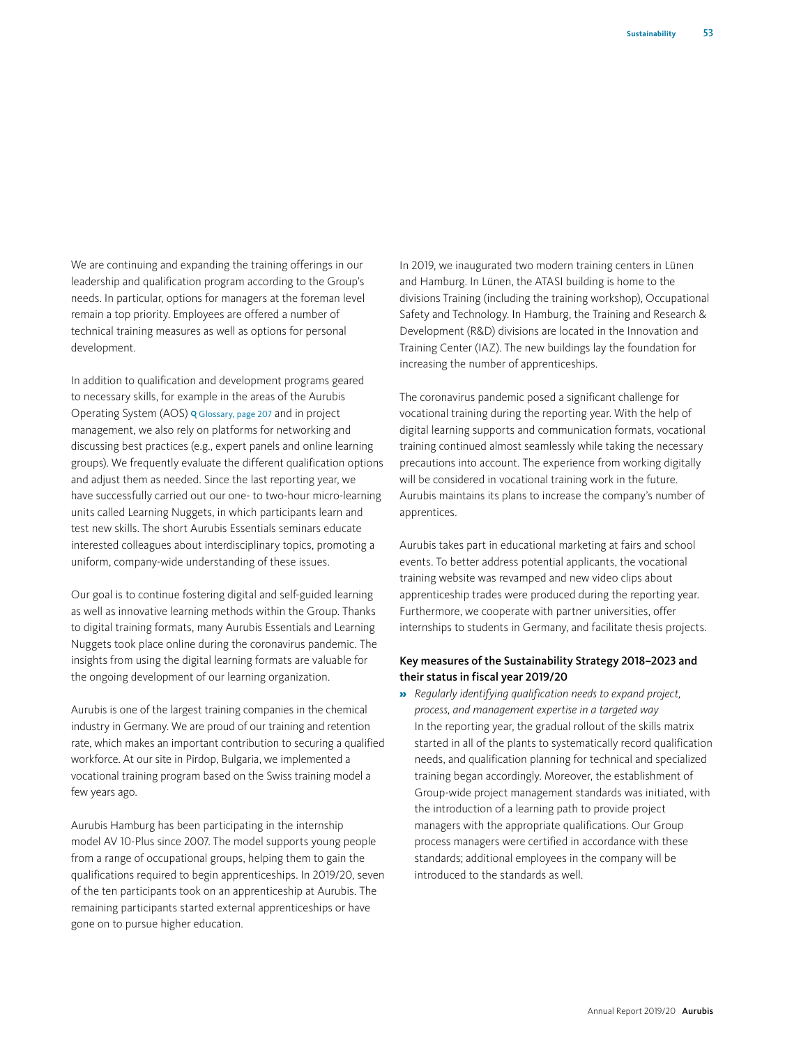We are continuing and expanding the training offerings in our leadership and qualification program according to the Group's needs. In particular, options for managers at the foreman level remain a top priority. Employees are offered a number of technical training measures as well as options for personal development.

In addition to qualification and development programs geared to necessary skills, for example in the areas of the Aurubis Operating System (AOS) Glossary, page 207 and in project management, we also rely on platforms for networking and discussing best practices (e.g., expert panels and online learning groups). We frequently evaluate the different qualification options and adjust them as needed. Since the last reporting year, we have successfully carried out our one- to two-hour micro-learning units called Learning Nuggets, in which participants learn and test new skills. The short Aurubis Essentials seminars educate interested colleagues about interdisciplinary topics, promoting a uniform, company-wide understanding of these issues.

Our goal is to continue fostering digital and self-guided learning as well as innovative learning methods within the Group. Thanks to digital training formats, many Aurubis Essentials and Learning Nuggets took place online during the coronavirus pandemic. The insights from using the digital learning formats are valuable for the ongoing development of our learning organization.

Aurubis is one of the largest training companies in the chemical industry in Germany. We are proud of our training and retention rate, which makes an important contribution to securing a qualified workforce. At our site in Pirdop, Bulgaria, we implemented a vocational training program based on the Swiss training model a few years ago.

Aurubis Hamburg has been participating in the internship model AV 10-Plus since 2007. The model supports young people from a range of occupational groups, helping them to gain the qualifications required to begin apprenticeships. In 2019/20, seven of the ten participants took on an apprenticeship at Aurubis. The remaining participants started external apprenticeships or have gone on to pursue higher education.

In 2019, we inaugurated two modern training centers in Lünen and Hamburg. In Lünen, the ATASI building is home to the divisions Training (including the training workshop), Occupational Safety and Technology. In Hamburg, the Training and Research & Development (R&D) divisions are located in the Innovation and Training Center (IAZ). The new buildings lay the foundation for increasing the number of apprenticeships.

The coronavirus pandemic posed a significant challenge for vocational training during the reporting year. With the help of digital learning supports and communication formats, vocational training continued almost seamlessly while taking the necessary precautions into account. The experience from working digitally will be considered in vocational training work in the future. Aurubis maintains its plans to increase the company's number of apprentices.

Aurubis takes part in educational marketing at fairs and school events. To better address potential applicants, the vocational training website was revamped and new video clips about apprenticeship trades were produced during the reporting year. Furthermore, we cooperate with partner universities, offer internships to students in Germany, and facilitate thesis projects.

## Key measures of the Sustainability Strategy 2018–2023 and their status in fiscal year 2019/20

» *Regularly identifying qualification needs to expand project, process, and management expertise in a targeted way* In the reporting year, the gradual rollout of the skills matrix started in all of the plants to systematically record qualification needs, and qualification planning for technical and specialized training began accordingly. Moreover, the establishment of Group-wide project management standards was initiated, with the introduction of a learning path to provide project managers with the appropriate qualifications. Our Group process managers were certified in accordance with these standards; additional employees in the company will be introduced to the standards as well.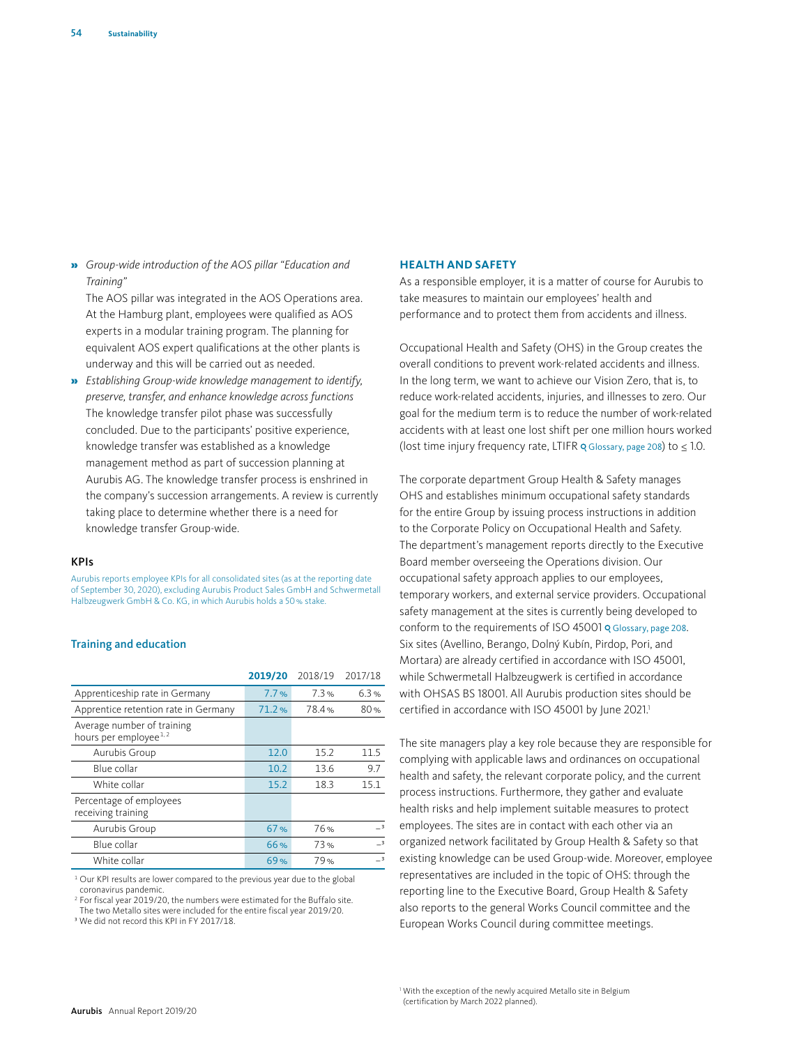» *Group-wide introduction of the AOS pillar "Education and Training"*

The AOS pillar was integrated in the AOS Operations area. At the Hamburg plant, employees were qualified as AOS experts in a modular training program. The planning for equivalent AOS expert qualifications at the other plants is underway and this will be carried out as needed.

» *Establishing Group-wide knowledge management to identify, preserve, transfer, and enhance knowledge across functions* The knowledge transfer pilot phase was successfully concluded. Due to the participants' positive experience, knowledge transfer was established as a knowledge management method as part of succession planning at Aurubis AG. The knowledge transfer process is enshrined in the company's succession arrangements. A review is currently taking place to determine whether there is a need for knowledge transfer Group-wide.

#### KPIs

Aurubis reports employee KPIs for all consolidated sites (as at the reporting date of September 30, 2020), excluding Aurubis Product Sales GmbH and Schwermetall Halbzeugwerk GmbH & Co. KG, in which Aurubis holds a 50% stake.

#### Training and education

|                                                                 | 2019/20 | 2018/19 | 2017/18                  |
|-----------------------------------------------------------------|---------|---------|--------------------------|
| Apprenticeship rate in Germany                                  | 7.7%    | 7.3%    | 6.3%                     |
| Apprentice retention rate in Germany                            | 71.2%   | 78.4%   | 80%                      |
| Average number of training<br>hours per employee <sup>1,2</sup> |         |         |                          |
| Aurubis Group                                                   | 12.0    | 15.2    | 11.5                     |
| Blue collar                                                     | 10.2    | 13.6    | 9.7                      |
| White collar                                                    | 15.2    | 18.3    | 15.1                     |
| Percentage of employees<br>receiving training                   |         |         |                          |
| Aurubis Group                                                   | 67%     | 76%     | $\overline{\phantom{a}}$ |
| Blue collar                                                     | 66%     | 73%     | $\overline{\phantom{a}}$ |
| White collar                                                    | 69%     | 79%     | $\overline{\phantom{a}}$ |

<sup>1</sup> Our KPI results are lower compared to the previous year due to the global coronavirus pandemic.

<sup>2</sup> For fiscal year 2019/20, the numbers were estimated for the Buffalo site. The two Metallo sites were included for the entire fiscal year 2019/20.

<sup>3</sup> We did not record this KPI in FY 2017/18.

#### **HEALTH AND SAFETY**

As a responsible employer, it is a matter of course for Aurubis to take measures to maintain our employees' health and performance and to protect them from accidents and illness.

Occupational Health and Safety (OHS) in the Group creates the overall conditions to prevent work-related accidents and illness. In the long term, we want to achieve our Vision Zero, that is, to reduce work-related accidents, injuries, and illnesses to zero. Our goal for the medium term is to reduce the number of work-related accidents with at least one lost shift per one million hours worked (lost time injury frequency rate, LTIFR  $Q$  Glossary, page 208) to  $\leq 1.0$ .

The corporate department Group Health & Safety manages OHS and establishes minimum occupational safety standards for the entire Group by issuing process instructions in addition to the Corporate Policy on Occupational Health and Safety. The department's management reports directly to the Executive Board member overseeing the Operations division. Our occupational safety approach applies to our employees, temporary workers, and external service providers. Occupational safety management at the sites is currently being developed to conform to the requirements of ISO 45001 o Glossary, page 208. Six sites (Avellino, Berango, Dolný Kubín, Pirdop, Pori, and Mortara) are already certified in accordance with ISO 45001, while Schwermetall Halbzeugwerk is certified in accordance with OHSAS BS 18001. All Aurubis production sites should be certified in accordance with ISO 45001 by June 2021.<sup>1</sup>

The site managers play a key role because they are responsible for complying with applicable laws and ordinances on occupational health and safety, the relevant corporate policy, and the current process instructions. Furthermore, they gather and evaluate health risks and help implement suitable measures to protect employees. The sites are in contact with each other via an organized network facilitated by Group Health & Safety so that existing knowledge can be used Group-wide. Moreover, employee representatives are included in the topic of OHS: through the reporting line to the Executive Board, Group Health & Safety also reports to the general Works Council committee and the European Works Council during committee meetings.

<sup>1</sup> With the exception of the newly acquired Metallo site in Belgium (certification by March 2022 planned).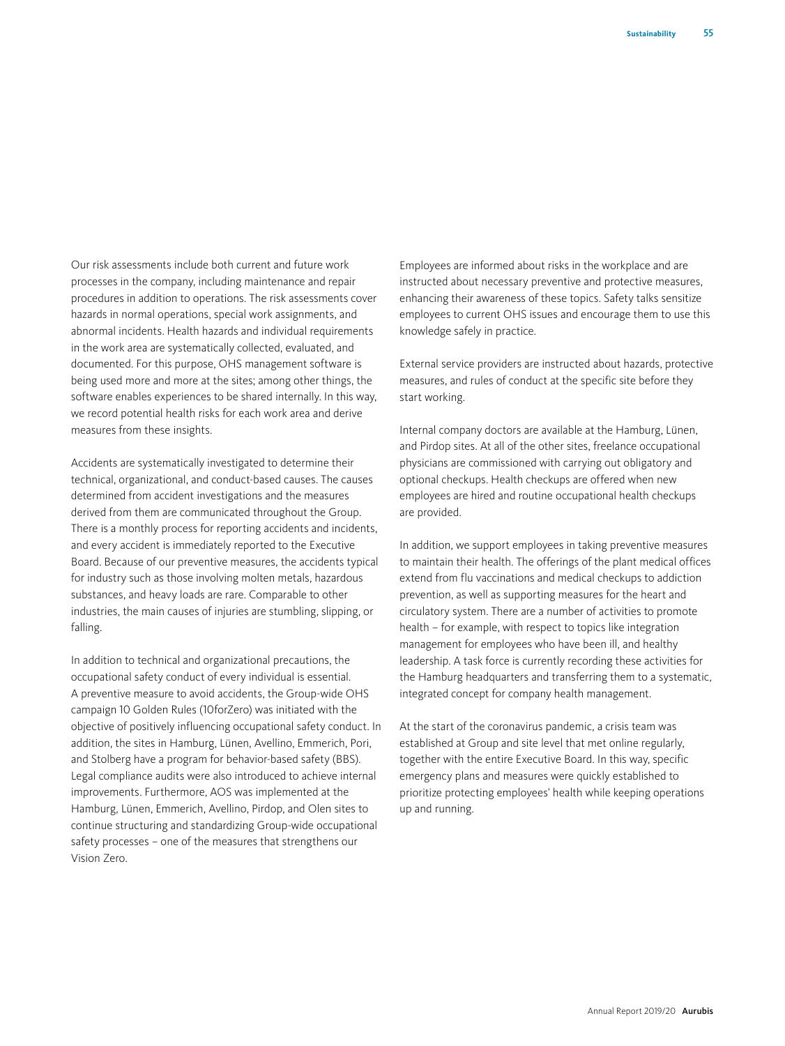Our risk assessments include both current and future work processes in the company, including maintenance and repair procedures in addition to operations. The risk assessments cover hazards in normal operations, special work assignments, and abnormal incidents. Health hazards and individual requirements in the work area are systematically collected, evaluated, and documented. For this purpose, OHS management software is being used more and more at the sites; among other things, the software enables experiences to be shared internally. In this way, we record potential health risks for each work area and derive measures from these insights.

Accidents are systematically investigated to determine their technical, organizational, and conduct-based causes. The causes determined from accident investigations and the measures derived from them are communicated throughout the Group. There is a monthly process for reporting accidents and incidents, and every accident is immediately reported to the Executive Board. Because of our preventive measures, the accidents typical for industry such as those involving molten metals, hazardous substances, and heavy loads are rare. Comparable to other industries, the main causes of injuries are stumbling, slipping, or falling.

In addition to technical and organizational precautions, the occupational safety conduct of every individual is essential. A preventive measure to avoid accidents, the Group-wide OHS campaign 10 Golden Rules (10forZero) was initiated with the objective of positively influencing occupational safety conduct. In addition, the sites in Hamburg, Lünen, Avellino, Emmerich, Pori, and Stolberg have a program for behavior-based safety (BBS). Legal compliance audits were also introduced to achieve internal improvements. Furthermore, AOS was implemented at the Hamburg, Lünen, Emmerich, Avellino, Pirdop, and Olen sites to continue structuring and standardizing Group-wide occupational safety processes – one of the measures that strengthens our Vision Zero.

Employees are informed about risks in the workplace and are instructed about necessary preventive and protective measures, enhancing their awareness of these topics. Safety talks sensitize employees to current OHS issues and encourage them to use this knowledge safely in practice.

External service providers are instructed about hazards, protective measures, and rules of conduct at the specific site before they start working.

Internal company doctors are available at the Hamburg, Lünen, and Pirdop sites. At all of the other sites, freelance occupational physicians are commissioned with carrying out obligatory and optional checkups. Health checkups are offered when new employees are hired and routine occupational health checkups are provided.

In addition, we support employees in taking preventive measures to maintain their health. The offerings of the plant medical offices extend from flu vaccinations and medical checkups to addiction prevention, as well as supporting measures for the heart and circulatory system. There are a number of activities to promote health – for example, with respect to topics like integration management for employees who have been ill, and healthy leadership. A task force is currently recording these activities for the Hamburg headquarters and transferring them to a systematic, integrated concept for company health management.

At the start of the coronavirus pandemic, a crisis team was established at Group and site level that met online regularly, together with the entire Executive Board. In this way, specific emergency plans and measures were quickly established to prioritize protecting employees' health while keeping operations up and running.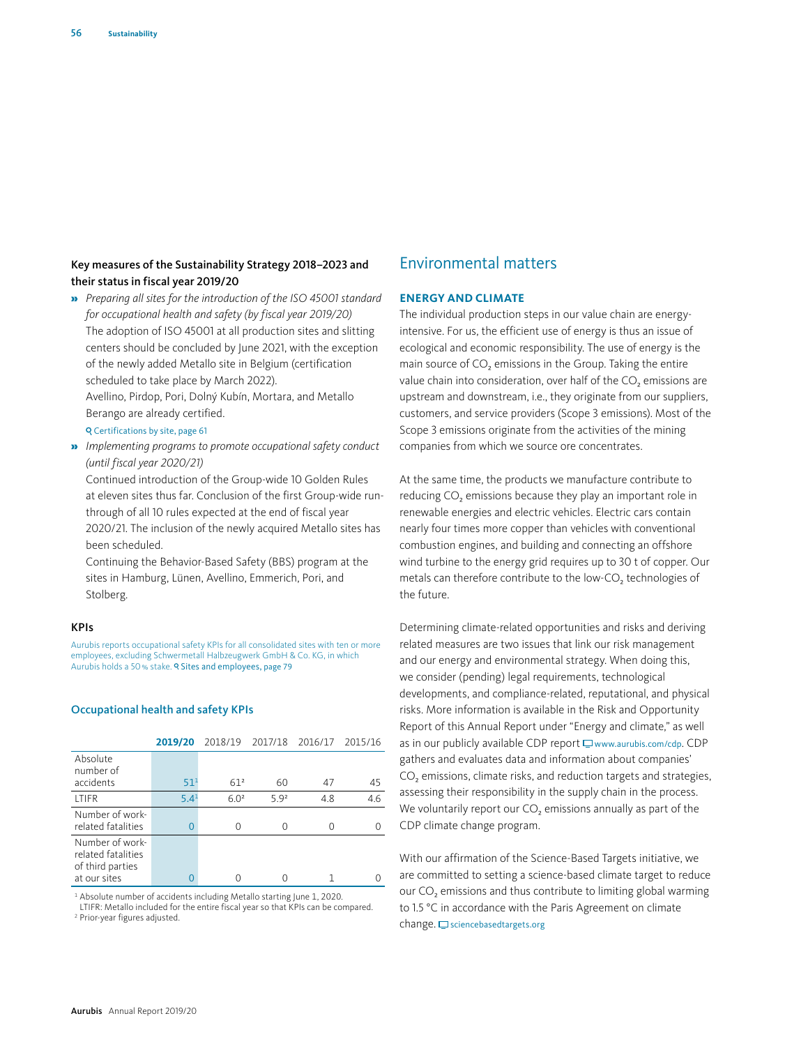## Key measures of the Sustainability Strategy 2018–2023 and their status in fiscal year 2019/20

» *Preparing all sites for the introduction of the ISO 45001 standard for occupational health and safety (by fiscal year 2019/20)* The adoption of ISO 45001 at all production sites and slitting centers should be concluded by June 2021, with the exception of the newly added Metallo site in Belgium (certification scheduled to take place by March 2022).

Avellino, Pirdop, Pori, Dolný Kubín, Mortara, and Metallo Berango are already certified.

## Certifications by site, page 61

» *Implementing programs to promote occupational safety conduct (until fiscal year 2020/21)*

Continued introduction of the Group-wide 10 Golden Rules at eleven sites thus far. Conclusion of the first Group-wide runthrough of all 10 rules expected at the end of fiscal year 2020/21. The inclusion of the newly acquired Metallo sites has been scheduled.

Continuing the Behavior-Based Safety (BBS) program at the sites in Hamburg, Lünen, Avellino, Emmerich, Pori, and Stolberg.

#### KPIs

Aurubis reports occupational safety KPIs for all consolidated sites with ten or more employees, excluding Schwermetall Halbzeugwerk GmbH & Co. KG, in which Aurubis holds a 50% stake. **9 Sites and employees, page 79** 

#### Occupational health and safety KPIs

|                                                                           | 2019/20          | 2018/19 2017/18 2016/17 2015/16 |                  |     |     |
|---------------------------------------------------------------------------|------------------|---------------------------------|------------------|-----|-----|
| Absolute<br>number of                                                     |                  |                                 |                  |     |     |
| accidents                                                                 | $51^{1}$         | 61 <sup>2</sup>                 | 60               | 47  | 45  |
| <b>ITIFR</b>                                                              | 5.4 <sup>1</sup> | 6.0 <sup>2</sup>                | 5.9 <sup>2</sup> | 4.8 | 4.6 |
| Number of work-<br>related fatalities                                     | $\Omega$         |                                 |                  | Ω   |     |
| Number of work-<br>related fatalities<br>of third parties<br>at our sites |                  |                                 |                  |     |     |

<sup>1</sup> Absolute number of accidents including Metallo starting June 1, 2020.

LTIFR: Metallo included for the entire fiscal year so that KPIs can be compared. 2 Prior-year figures adjusted.

# Environmental matters

## **ENERGY AND CLIMATE**

The individual production steps in our value chain are energyintensive. For us, the efficient use of energy is thus an issue of ecological and economic responsibility. The use of energy is the main source of CO<sub>2</sub> emissions in the Group. Taking the entire value chain into consideration, over half of the CO<sub>2</sub> emissions are upstream and downstream, i.e., they originate from our suppliers, customers, and service providers (Scope 3 emissions). Most of the Scope 3 emissions originate from the activities of the mining companies from which we source ore concentrates.

At the same time, the products we manufacture contribute to reducing CO<sub>2</sub> emissions because they play an important role in renewable energies and electric vehicles. Electric cars contain nearly four times more copper than vehicles with conventional combustion engines, and building and connecting an offshore wind turbine to the energy grid requires up to 30 t of copper. Our metals can therefore contribute to the low-CO<sub>2</sub> technologies of the future.

Determining climate-related opportunities and risks and deriving related measures are two issues that link our risk management and our energy and environmental strategy. When doing this, we consider (pending) legal requirements, technological developments, and compliance-related, reputational, and physical risks. More information is available in the Risk and Opportunity Report of this Annual Report under "Energy and climate," as well as in our publicly available CDP report  $\Box$  www.aurubis.com/cdp. CDP gathers and evaluates data and information about companies' CO<sub>2</sub> emissions, climate risks, and reduction targets and strategies, assessing their responsibility in the supply chain in the process. We voluntarily report our CO<sub>2</sub> emissions annually as part of the CDP climate change program.

With our affirmation of the Science-Based Targets initiative, we are committed to setting a science-based climate target to reduce our CO<sub>2</sub> emissions and thus contribute to limiting global warming to 1.5 °C in accordance with the Paris Agreement on climate  $change.\sqsubseteq$  sciencebasedtargets.org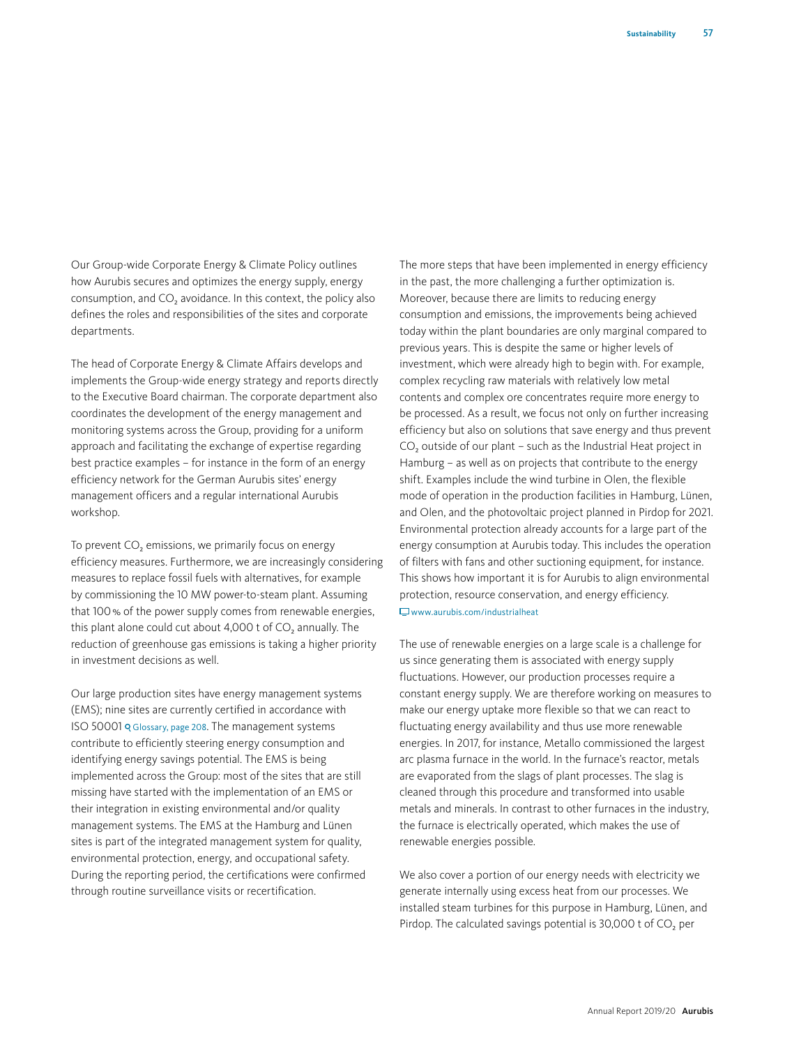Our Group-wide Corporate Energy & Climate Policy outlines how Aurubis secures and optimizes the energy supply, energy consumption, and CO<sub>2</sub> avoidance. In this context, the policy also defines the roles and responsibilities of the sites and corporate departments.

The head of Corporate Energy & Climate Affairs develops and implements the Group-wide energy strategy and reports directly to the Executive Board chairman. The corporate department also coordinates the development of the energy management and monitoring systems across the Group, providing for a uniform approach and facilitating the exchange of expertise regarding best practice examples – for instance in the form of an energy efficiency network for the German Aurubis sites' energy management officers and a regular international Aurubis workshop.

To prevent CO<sub>2</sub> emissions, we primarily focus on energy efficiency measures. Furthermore, we are increasingly considering measures to replace fossil fuels with alternatives, for example by commissioning the 10 MW power-to-steam plant. Assuming that 100% of the power supply comes from renewable energies, this plant alone could cut about 4,000 t of CO<sub>2</sub> annually. The reduction of greenhouse gas emissions is taking a higher priority in investment decisions as well.

Our large production sites have energy management systems (EMS); nine sites are currently certified in accordance with ISO 50001 Glossary, page 208. The management systems contribute to efficiently steering energy consumption and identifying energy savings potential. The EMS is being implemented across the Group: most of the sites that are still missing have started with the implementation of an EMS or their integration in existing environmental and/or quality management systems. The EMS at the Hamburg and Lünen sites is part of the integrated management system for quality, environmental protection, energy, and occupational safety. During the reporting period, the certifications were confirmed through routine surveillance visits or recertification.

The more steps that have been implemented in energy efficiency in the past, the more challenging a further optimization is. Moreover, because there are limits to reducing energy consumption and emissions, the improvements being achieved today within the plant boundaries are only marginal compared to previous years. This is despite the same or higher levels of investment, which were already high to begin with. For example, complex recycling raw materials with relatively low metal contents and complex ore concentrates require more energy to be processed. As a result, we focus not only on further increasing efficiency but also on solutions that save energy and thus prevent CO<sub>2</sub> outside of our plant – such as the Industrial Heat project in Hamburg – as well as on projects that contribute to the energy shift. Examples include the wind turbine in Olen, the flexible mode of operation in the production facilities in Hamburg, Lünen, and Olen, and the photovoltaic project planned in Pirdop for 2021. Environmental protection already accounts for a large part of the energy consumption at Aurubis today. This includes the operation of filters with fans and other suctioning equipment, for instance. This shows how important it is for Aurubis to align environmental protection, resource conservation, and energy efficiency.  $\Box$ www.aurubis.com/industrialheat

The use of renewable energies on a large scale is a challenge for us since generating them is associated with energy supply fluctuations. However, our production processes require a constant energy supply. We are therefore working on measures to make our energy uptake more flexible so that we can react to fluctuating energy availability and thus use more renewable energies. In 2017, for instance, Metallo commissioned the largest arc plasma furnace in the world. In the furnace's reactor, metals are evaporated from the slags of plant processes. The slag is cleaned through this procedure and transformed into usable metals and minerals. In contrast to other furnaces in the industry, the furnace is electrically operated, which makes the use of renewable energies possible.

We also cover a portion of our energy needs with electricity we generate internally using excess heat from our processes. We installed steam turbines for this purpose in Hamburg, Lünen, and Pirdop. The calculated savings potential is 30,000 t of  $CO<sub>2</sub>$  per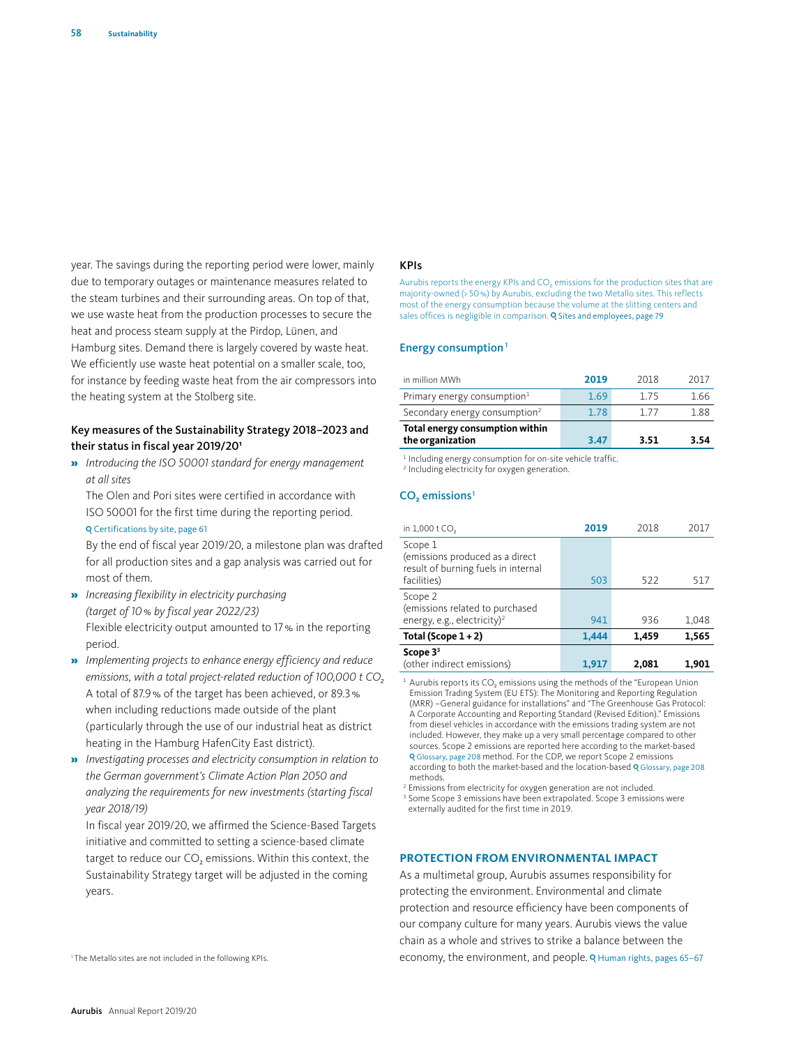year. The savings during the reporting period were lower, mainly due to temporary outages or maintenance measures related to the steam turbines and their surrounding areas. On top of that, we use waste heat from the production processes to secure the heat and process steam supply at the Pirdop, Lünen, and Hamburg sites. Demand there is largely covered by waste heat. We efficiently use waste heat potential on a smaller scale, too, for instance by feeding waste heat from the air compressors into the heating system at the Stolberg site.

## Key measures of the Sustainability Strategy 2018–2023 and their status in fiscal year 2019/201

» *Introducing the ISO 50001 standard for energy management at all sites*

The Olen and Pori sites were certified in accordance with ISO 50001 for the first time during the reporting period. Certifications by site, page 61

By the end of fiscal year 2019/20, a milestone plan was drafted for all production sites and a gap analysis was carried out for most of them.

- » *Increasing flexibility in electricity purchasing (target of 10% by fiscal year 2022/23)* Flexible electricity output amounted to 17% in the reporting period.
- » *Implementing projects to enhance energy efficiency and reduce*  emissions, with a total project-related reduction of 100,000 t CO<sub>2</sub> A total of 87.9% of the target has been achieved, or 89.3% when including reductions made outside of the plant (particularly through the use of our industrial heat as district heating in the Hamburg HafenCity East district).
- » *Investigating processes and electricity consumption in relation to the German government's Climate Action Plan 2050 and analyzing the requirements for new investments (starting fiscal year 2018/19)*

In fiscal year 2019/20, we affirmed the Science-Based Targets initiative and committed to setting a science-based climate target to reduce our  $CO<sub>2</sub>$  emissions. Within this context, the Sustainability Strategy target will be adjusted in the coming years.

#### <sup>1</sup> The Metallo sites are not included in the following KPIs.

#### KPIs

Aurubis reports the energy KPIs and CO<sub>2</sub> emissions for the production sites that are majority-owned (> 50%) by Aurubis, excluding the two Metallo sites. This reflects most of the energy consumption because the volume at the slitting centers and sales offices is negligible in comparison. **Q Sites and employees, page 79** 

#### Energy consumption<sup>1</sup>

| in million MWh                                      | 2019 | 2018  | 2017 |
|-----------------------------------------------------|------|-------|------|
| Primary energy consumption $1$                      | 1.69 | 175   | 1.66 |
| Secondary energy consumption <sup>2</sup>           | 1.78 | 1 7 7 | 188  |
| Total energy consumption within<br>the organization | 3.47 | 3.51  | 3.54 |

<sup>1</sup> Including energy consumption for on-site vehicle traffic.

<sup>2</sup> Including electricity for oxygen generation.

## $CO<sub>3</sub>$  emissions<sup>1</sup>

| in 1,000 t CO,                                                                                   | 2019  | 2018  | 2017  |
|--------------------------------------------------------------------------------------------------|-------|-------|-------|
| Scope 1<br>(emissions produced as a direct<br>result of burning fuels in internal<br>facilities) | 503   | 522   | 517   |
| Scope 2<br>(emissions related to purchased<br>energy, e.g., electricity) <sup>2</sup>            | 941   | 936   | 1,048 |
| Total (Scope $1+2$ )                                                                             | 1,444 | 1,459 | 1,565 |
| Scope $33$<br>(other indirect emissions)                                                         | 1.917 | 2,081 | 1,901 |

 $^1$  Aurubis reports its  $CO<sub>2</sub>$  emissions using the methods of the "European Union Emission Trading System (EU ETS): The Monitoring and Reporting Regulation (MRR) –General guidance for installations" and "The Greenhouse Gas Protocol: A Corporate Accounting and Reporting Standard (Revised Edition)." Emissions from diesel vehicles in accordance with the emissions trading system are not included. However, they make up a very small percentage compared to other sources. Scope 2 emissions are reported here according to the market-based Glossary, page 208 method. For the CDP, we report Scope 2 emissions according to both the market-based and the location-based Q Glossary, page 208 methods.

<sup>2</sup> Emissions from electricity for oxygen generation are not included <sup>3</sup> Some Scope 3 emissions have been extrapolated. Scope 3 emissions were externally audited for the first time in 2019.

#### **PROTECTION FROM ENVIRONMENTAL IMPACT**

As a multimetal group, Aurubis assumes responsibility for protecting the environment. Environmental and climate protection and resource efficiency have been components of our company culture for many years. Aurubis views the value chain as a whole and strives to strike a balance between the economy, the environment, and people. Q Human rights, pages 65-67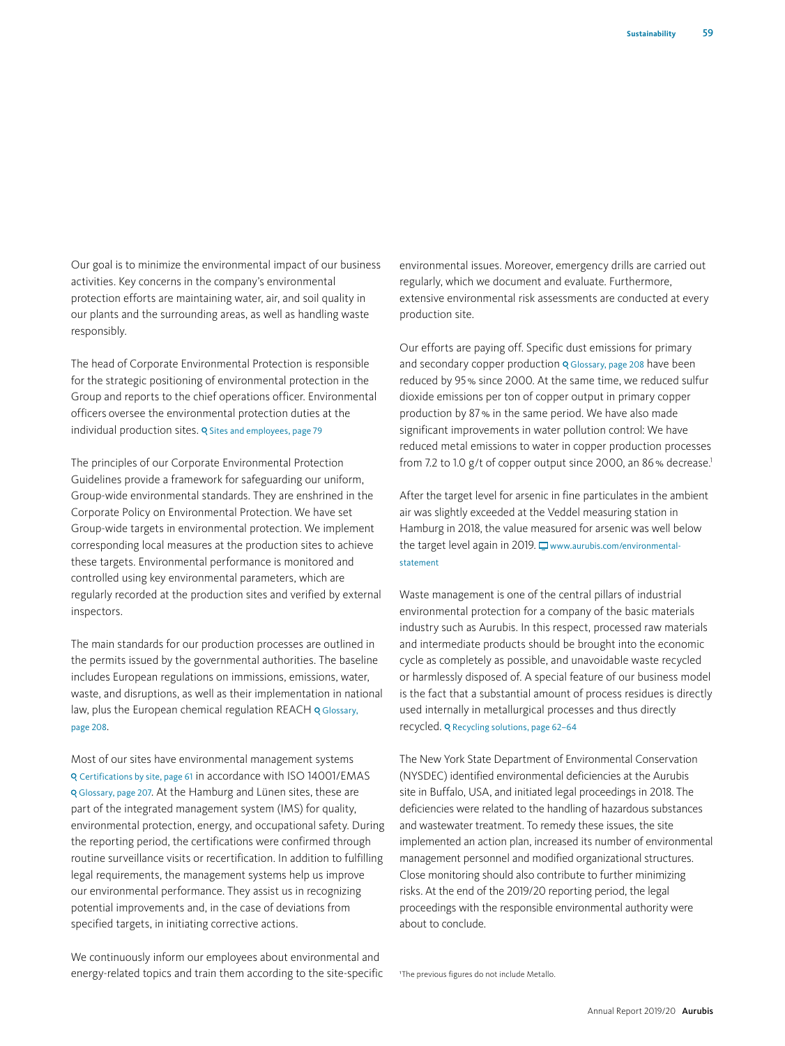Our goal is to minimize the environmental impact of our business activities. Key concerns in the company's environmental protection efforts are maintaining water, air, and soil quality in our plants and the surrounding areas, as well as handling waste responsibly.

The head of Corporate Environmental Protection is responsible for the strategic positioning of environmental protection in the Group and reports to the chief operations officer. Environmental officers oversee the environmental protection duties at the individual production sites. Q Sites and employees, page 79

The principles of our Corporate Environmental Protection Guidelines provide a framework for safeguarding our uniform, Group-wide environmental standards. They are enshrined in the Corporate Policy on Environmental Protection. We have set Group-wide targets in environmental protection. We implement corresponding local measures at the production sites to achieve these targets. Environmental performance is monitored and controlled using key environmental parameters, which are regularly recorded at the production sites and verified by external inspectors.

The main standards for our production processes are outlined in the permits issued by the governmental authorities. The baseline includes European regulations on immissions, emissions, water, waste, and disruptions, as well as their implementation in national law, plus the European chemical regulation REACH Q Glossary, page 208.

Most of our sites have environmental management systems Certifications by site, page 61 in accordance with ISO 14001/EMAS Glossary, page 207. At the Hamburg and Lünen sites, these are part of the integrated management system (IMS) for quality, environmental protection, energy, and occupational safety. During the reporting period, the certifications were confirmed through routine surveillance visits or recertification. In addition to fulfilling legal requirements, the management systems help us improve our environmental performance. They assist us in recognizing potential improvements and, in the case of deviations from specified targets, in initiating corrective actions.

We continuously inform our employees about environmental and energy-related topics and train them according to the site-specific environmental issues. Moreover, emergency drills are carried out regularly, which we document and evaluate. Furthermore, extensive environmental risk assessments are conducted at every production site.

Our efforts are paying off. Specific dust emissions for primary and secondary copper production Q Glossary, page 208 have been reduced by 95% since 2000. At the same time, we reduced sulfur dioxide emissions per ton of copper output in primary copper production by 87% in the same period. We have also made significant improvements in water pollution control: We have reduced metal emissions to water in copper production processes from 7.2 to 1.0 g/t of copper output since 2000, an 86% decrease.<sup>1</sup>

After the target level for arsenic in fine particulates in the ambient air was slightly exceeded at the Veddel measuring station in Hamburg in 2018, the value measured for arsenic was well below the target level again in 2019.  $\Box$  www.aurubis.com/environmentalstatement

Waste management is one of the central pillars of industrial environmental protection for a company of the basic materials industry such as Aurubis. In this respect, processed raw materials and intermediate products should be brought into the economic cycle as completely as possible, and unavoidable waste recycled or harmlessly disposed of. A special feature of our business model is the fact that a substantial amount of process residues is directly used internally in metallurgical processes and thus directly recycled. Q Recycling solutions, page 62-64

The New York State Department of Environmental Conservation (NYSDEC) identified environmental deficiencies at the Aurubis site in Buffalo, USA, and initiated legal proceedings in 2018. The deficiencies were related to the handling of hazardous substances and wastewater treatment. To remedy these issues, the site implemented an action plan, increased its number of environmental management personnel and modified organizational structures. Close monitoring should also contribute to further minimizing risks. At the end of the 2019/20 reporting period, the legal proceedings with the responsible environmental authority were about to conclude.

1The previous figures do not include Metallo.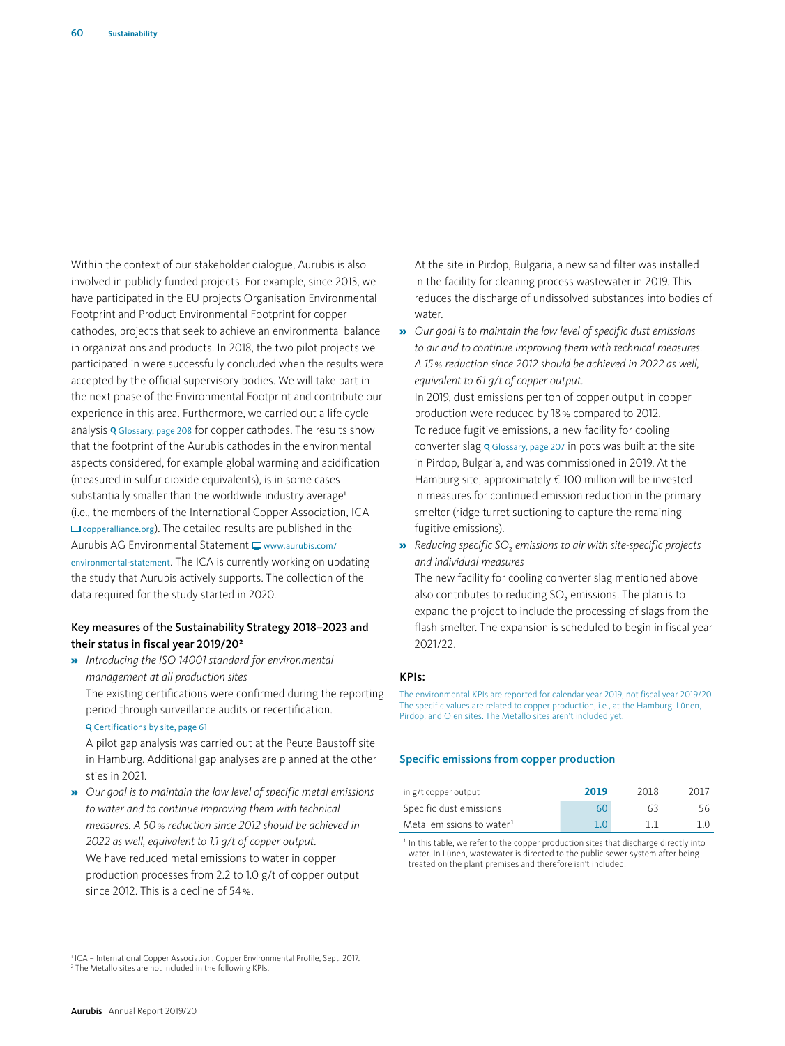Within the context of our stakeholder dialogue, Aurubis is also involved in publicly funded projects. For example, since 2013, we have participated in the EU projects Organisation Environmental Footprint and Product Environmental Footprint for copper cathodes, projects that seek to achieve an environmental balance in organizations and products. In 2018, the two pilot projects we participated in were successfully concluded when the results were accepted by the official supervisory bodies. We will take part in the next phase of the Environmental Footprint and contribute our experience in this area. Furthermore, we carried out a life cycle analysis Q Glossary, page 208 for copper cathodes. The results show that the footprint of the Aurubis cathodes in the environmental aspects considered, for example global warming and acidification (measured in sulfur dioxide equivalents), is in some cases substantially smaller than the worldwide industry average<sup>1</sup> (i.e., the members of the International Copper Association, ICA  $\Box$  copperalliance.org). The detailed results are published in the Aurubis AG Environmental Statement  $\Box$  www.aurubis.com/ environmental-statement. The ICA is currently working on updating the study that Aurubis actively supports. The collection of the data required for the study started in 2020.

## Key measures of the Sustainability Strategy 2018–2023 and their status in fiscal year 2019/20<sup>2</sup>

» *Introducing the ISO 14001 standard for environmental management at all production sites*

The existing certifications were confirmed during the reporting period through surveillance audits or recertification. Certifications by site, page 61

A pilot gap analysis was carried out at the Peute Baustoff site in Hamburg. Additional gap analyses are planned at the other sties in 2021.

» *Our goal is to maintain the low level of specific metal emissions to water and to continue improving them with technical measures. A 50% reduction since 2012 should be achieved in 2022 as well, equivalent to 1.1 g/t of copper output.* We have reduced metal emissions to water in copper production processes from 2.2 to 1.0 g/t of copper output since 2012. This is a decline of 54%.

<sup>1</sup> ICA - International Copper Association: Copper Environmental Profile, Sept. 2017. <sup>2</sup> The Metallo sites are not included in the following KPIs.

At the site in Pirdop, Bulgaria, a new sand filter was installed in the facility for cleaning process wastewater in 2019. This reduces the discharge of undissolved substances into bodies of water

» *Our goal is to maintain the low level of specific dust emissions to air and to continue improving them with technical measures. A 15% reduction since 2012 should be achieved in 2022 as well, equivalent to 61 g/t of copper output.*

In 2019, dust emissions per ton of copper output in copper production were reduced by 18% compared to 2012. To reduce fugitive emissions, a new facility for cooling converter slag Q Glossary, page 207 in pots was built at the site in Pirdop, Bulgaria, and was commissioned in 2019. At the Hamburg site, approximately € 100 million will be invested in measures for continued emission reduction in the primary smelter (ridge turret suctioning to capture the remaining fugitive emissions).

» *Reducing specific SO*2 *emissions to air with site-specific projects and individual measures*

The new facility for cooling converter slag mentioned above also contributes to reducing SO<sub>2</sub> emissions. The plan is to expand the project to include the processing of slags from the flash smelter. The expansion is scheduled to begin in fiscal year 2021/22.

#### KPIs:

The environmental KPIs are reported for calendar year 2019, not fiscal year 2019/20. The specific values are related to copper production, i.e., at the Hamburg, Lünen, Pirdop, and Olen sites. The Metallo sites aren't included yet.

#### Specific emissions from copper production

| in g/t copper output         | 2019 | 2018 | <u> 201 ເ</u> |
|------------------------------|------|------|---------------|
| Specific dust emissions      | 60   | 63   |               |
| Metal emissions to water $1$ |      |      |               |

<sup>1</sup> In this table, we refer to the copper production sites that discharge directly into water. In Lünen, wastewater is directed to the public sewer system after being treated on the plant premises and therefore isn't included.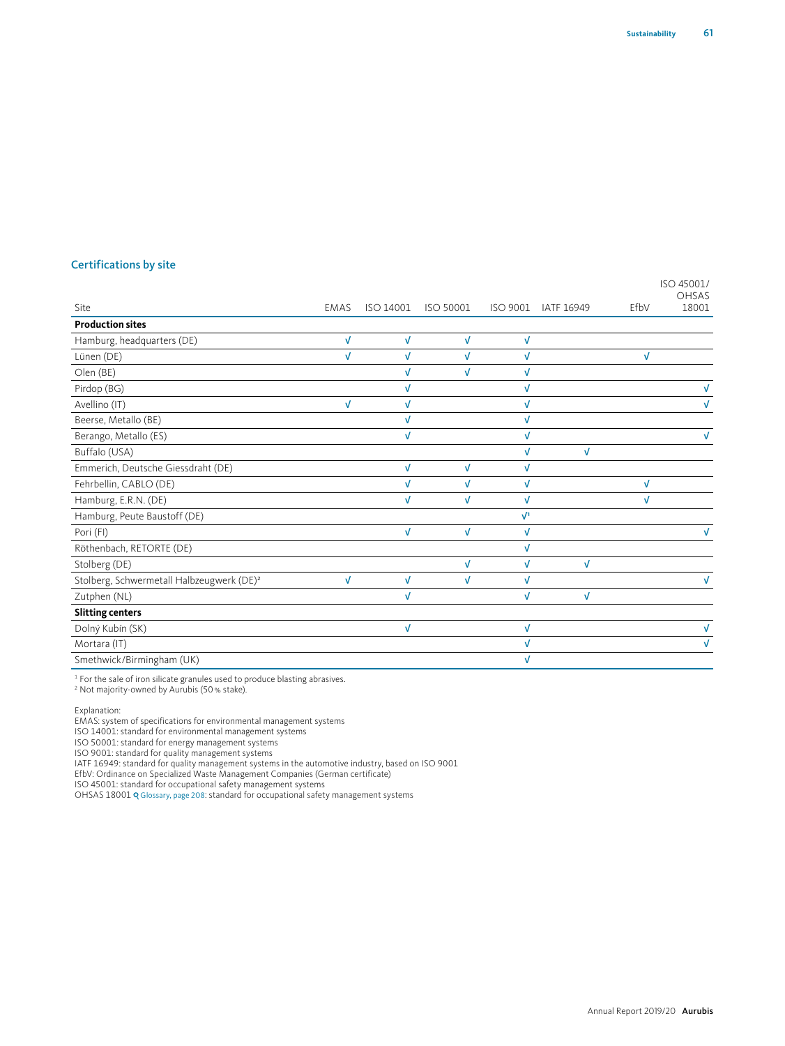|                                                       |              |           |            |              |            |              | ISO 45001/<br>OHSAS |
|-------------------------------------------------------|--------------|-----------|------------|--------------|------------|--------------|---------------------|
| Site                                                  | <b>EMAS</b>  | ISO 14001 | ISO 50001  | ISO 9001     | IATF 16949 | EfbV         | 18001               |
| <b>Production sites</b>                               |              |           |            |              |            |              |                     |
| Hamburg, headquarters (DE)                            | V            | V         | V          | V            |            |              |                     |
| Lünen (DE)                                            | V            | V         | V          | $\checkmark$ |            | $\checkmark$ |                     |
| Olen (BE)                                             |              | J         | V          | $\checkmark$ |            |              |                     |
| Pirdop (BG)                                           |              |           |            | V            |            |              |                     |
| Avellino (IT)                                         | $\checkmark$ | √         |            | V            |            |              |                     |
| Beerse, Metallo (BE)                                  |              | J         |            | V            |            |              |                     |
| Berango, Metallo (ES)                                 |              | √         |            | V            |            |              |                     |
| Buffalo (USA)                                         |              |           |            | $\sqrt{2}$   | V          |              |                     |
| Emmerich, Deutsche Giessdraht (DE)                    |              | V         | V          | V            |            |              |                     |
| Fehrbellin, CABLO (DE)                                |              | V         | V          | $\sqrt{ }$   |            | $\checkmark$ |                     |
| Hamburg, E.R.N. (DE)                                  |              | V         | V          | $\sqrt{ }$   |            | V            |                     |
| Hamburg, Peute Baustoff (DE)                          |              |           |            | $\sqrt{1}$   |            |              |                     |
| Pori (FI)                                             |              | V         | $\sqrt{ }$ | V            |            |              | $\sqrt{ }$          |
| Röthenbach, RETORTE (DE)                              |              |           |            | V            |            |              |                     |
| Stolberg (DE)                                         |              |           | V          | V            | V          |              |                     |
| Stolberg, Schwermetall Halbzeugwerk (DE) <sup>2</sup> | $\sqrt{ }$   | V         | V          | V            |            |              | $\sqrt{ }$          |
| Zutphen (NL)                                          |              | V         |            | V            | V          |              |                     |
| <b>Slitting centers</b>                               |              |           |            |              |            |              |                     |
| Dolný Kubín (SK)                                      |              | V         |            | V            |            |              |                     |
| Mortara (IT)                                          |              |           |            | $\checkmark$ |            |              | V                   |
| Smethwick/Birmingham (UK)                             |              |           |            | V            |            |              |                     |

1 For the sale of iron silicate granules used to produce blasting abrasives. 2 Not majority-owned by Aurubis (50% stake).

Explanation:

EMAS: system of specifications for environmental management systems

ISO 14001: standard for environmental management systems

ISO 50001: standard for energy management systems

ISO 9001: standard for quality management systems

IATF 16949: standard for quality management systems in the automotive industry, based on ISO 9001

EfbV: Ordinance on Specialized Waste Management Companies (German certificate) ISO 45001: standard for occupational safety management systems

OHSAS 18001 Glossary, page 208: standard for occupational safety management systems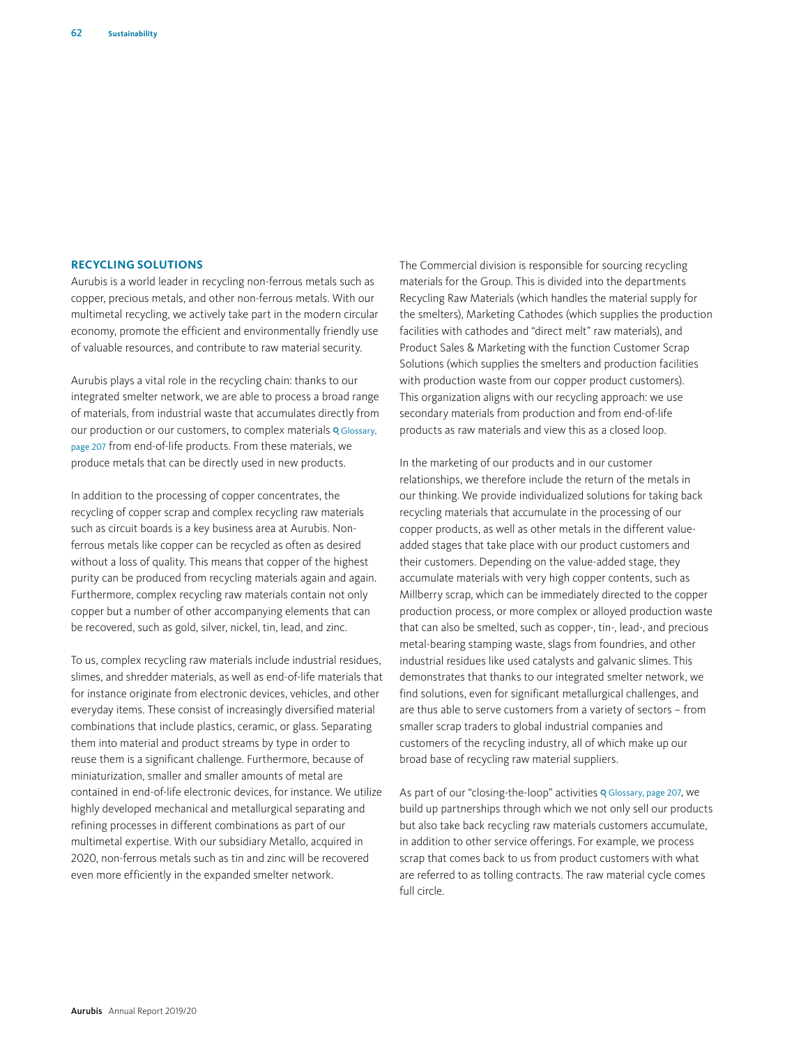## **RECYCLING SOLUTIONS**

Aurubis is a world leader in recycling non-ferrous metals such as copper, precious metals, and other non-ferrous metals. With our multimetal recycling, we actively take part in the modern circular economy, promote the efficient and environmentally friendly use of valuable resources, and contribute to raw material security.

Aurubis plays a vital role in the recycling chain: thanks to our integrated smelter network, we are able to process a broad range of materials, from industrial waste that accumulates directly from our production or our customers, to complex materials **Q Glossary**, page 207 from end-of-life products. From these materials, we produce metals that can be directly used in new products.

In addition to the processing of copper concentrates, the recycling of copper scrap and complex recycling raw materials such as circuit boards is a key business area at Aurubis. Nonferrous metals like copper can be recycled as often as desired without a loss of quality. This means that copper of the highest purity can be produced from recycling materials again and again. Furthermore, complex recycling raw materials contain not only copper but a number of other accompanying elements that can be recovered, such as gold, silver, nickel, tin, lead, and zinc.

To us, complex recycling raw materials include industrial residues, slimes, and shredder materials, as well as end-of-life materials that for instance originate from electronic devices, vehicles, and other everyday items. These consist of increasingly diversified material combinations that include plastics, ceramic, or glass. Separating them into material and product streams by type in order to reuse them is a significant challenge. Furthermore, because of miniaturization, smaller and smaller amounts of metal are contained in end-of-life electronic devices, for instance. We utilize highly developed mechanical and metallurgical separating and refining processes in different combinations as part of our multimetal expertise. With our subsidiary Metallo, acquired in 2020, non-ferrous metals such as tin and zinc will be recovered even more efficiently in the expanded smelter network.

The Commercial division is responsible for sourcing recycling materials for the Group. This is divided into the departments Recycling Raw Materials (which handles the material supply for the smelters), Marketing Cathodes (which supplies the production facilities with cathodes and "direct melt" raw materials), and Product Sales & Marketing with the function Customer Scrap Solutions (which supplies the smelters and production facilities with production waste from our copper product customers). This organization aligns with our recycling approach: we use secondary materials from production and from end-of-life products as raw materials and view this as a closed loop.

In the marketing of our products and in our customer relationships, we therefore include the return of the metals in our thinking. We provide individualized solutions for taking back recycling materials that accumulate in the processing of our copper products, as well as other metals in the different valueadded stages that take place with our product customers and their customers. Depending on the value-added stage, they accumulate materials with very high copper contents, such as Millberry scrap, which can be immediately directed to the copper production process, or more complex or alloyed production waste that can also be smelted, such as copper-, tin-, lead-, and precious metal-bearing stamping waste, slags from foundries, and other industrial residues like used catalysts and galvanic slimes. This demonstrates that thanks to our integrated smelter network, we find solutions, even for significant metallurgical challenges, and are thus able to serve customers from a variety of sectors – from smaller scrap traders to global industrial companies and customers of the recycling industry, all of which make up our broad base of recycling raw material suppliers.

As part of our "closing-the-loop" activities Q Glossary, page 207, we build up partnerships through which we not only sell our products but also take back recycling raw materials customers accumulate, in addition to other service offerings. For example, we process scrap that comes back to us from product customers with what are referred to as tolling contracts. The raw material cycle comes full circle.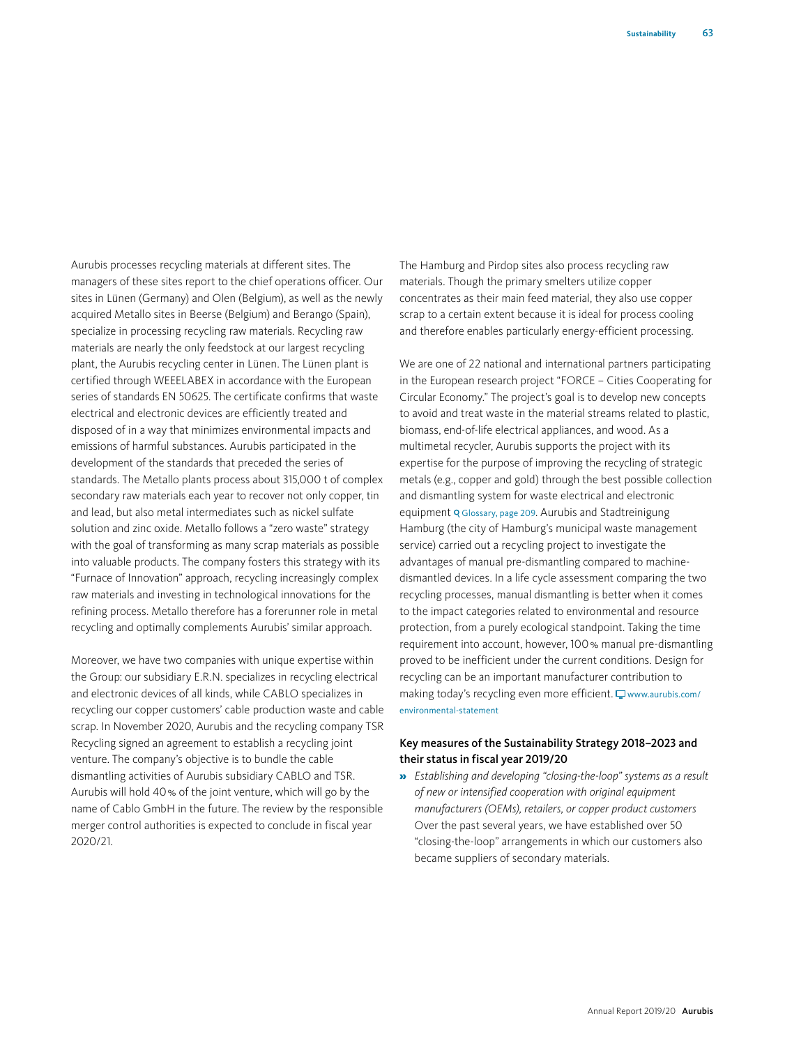Aurubis processes recycling materials at different sites. The managers of these sites report to the chief operations officer. Our sites in Lünen (Germany) and Olen (Belgium), as well as the newly acquired Metallo sites in Beerse (Belgium) and Berango (Spain), specialize in processing recycling raw materials. Recycling raw materials are nearly the only feedstock at our largest recycling plant, the Aurubis recycling center in Lünen. The Lünen plant is certified through WEEELABEX in accordance with the European series of standards EN 50625. The certificate confirms that waste electrical and electronic devices are efficiently treated and disposed of in a way that minimizes environmental impacts and emissions of harmful substances. Aurubis participated in the development of the standards that preceded the series of standards. The Metallo plants process about 315,000 t of complex secondary raw materials each year to recover not only copper, tin and lead, but also metal intermediates such as nickel sulfate solution and zinc oxide. Metallo follows a "zero waste" strategy with the goal of transforming as many scrap materials as possible into valuable products. The company fosters this strategy with its "Furnace of Innovation" approach, recycling increasingly complex raw materials and investing in technological innovations for the refining process. Metallo therefore has a forerunner role in metal recycling and optimally complements Aurubis' similar approach.

Moreover, we have two companies with unique expertise within the Group: our subsidiary E.R.N. specializes in recycling electrical and electronic devices of all kinds, while CABLO specializes in recycling our copper customers' cable production waste and cable scrap. In November 2020, Aurubis and the recycling company TSR Recycling signed an agreement to establish a recycling joint venture. The company's objective is to bundle the cable dismantling activities of Aurubis subsidiary CABLO and TSR. Aurubis will hold 40% of the joint venture, which will go by the name of Cablo GmbH in the future. The review by the responsible merger control authorities is expected to conclude in fiscal year 2020/21.

The Hamburg and Pirdop sites also process recycling raw materials. Though the primary smelters utilize copper concentrates as their main feed material, they also use copper scrap to a certain extent because it is ideal for process cooling and therefore enables particularly energy-efficient processing.

We are one of 22 national and international partners participating in the European research project "FORCE – Cities Cooperating for Circular Economy." The project's goal is to develop new concepts to avoid and treat waste in the material streams related to plastic, biomass, end-of-life electrical appliances, and wood. As a multimetal recycler, Aurubis supports the project with its expertise for the purpose of improving the recycling of strategic metals (e.g., copper and gold) through the best possible collection and dismantling system for waste electrical and electronic equipment Q Glossary, page 209. Aurubis and Stadtreinigung Hamburg (the city of Hamburg's municipal waste management service) carried out a recycling project to investigate the advantages of manual pre-dismantling compared to machinedismantled devices. In a life cycle assessment comparing the two recycling processes, manual dismantling is better when it comes to the impact categories related to environmental and resource protection, from a purely ecological standpoint. Taking the time requirement into account, however, 100% manual pre-dismantling proved to be inefficient under the current conditions. Design for recycling can be an important manufacturer contribution to making today's recycling even more efficient.  $\Box$  www.aurubis.com/ environmental-statement

## Key measures of the Sustainability Strategy 2018–2023 and their status in fiscal year 2019/20

» *Establishing and developing "closing-the-loop" systems as a result of new or intensified cooperation with original equipment manufacturers (OEMs), retailers, or copper product customers* Over the past several years, we have established over 50 "closing-the-loop" arrangements in which our customers also became suppliers of secondary materials.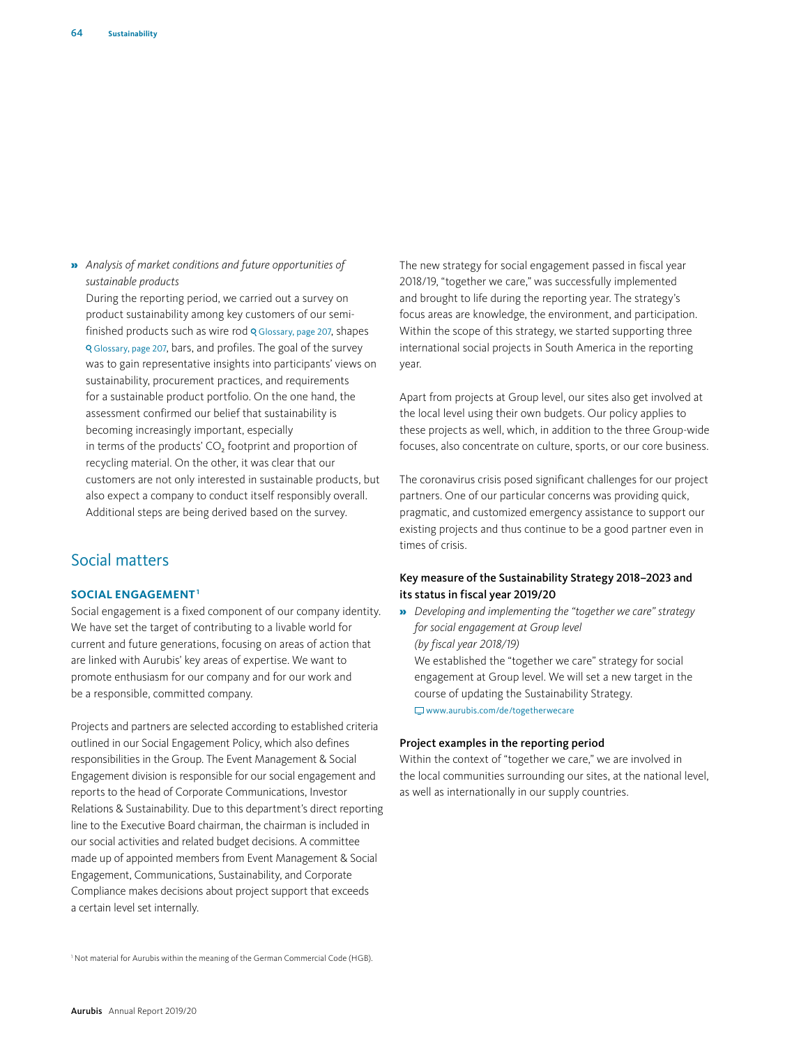» *Analysis of market conditions and future opportunities of sustainable products*

During the reporting period, we carried out a survey on product sustainability among key customers of our semifinished products such as wire rod  $\frac{Q}{Q}$  Glossary, page 207, shapes Glossary, page 207, bars, and profiles. The goal of the survey was to gain representative insights into participants' views on sustainability, procurement practices, and requirements for a sustainable product portfolio. On the one hand, the assessment confirmed our belief that sustainability is becoming increasingly important, especially in terms of the products' CO<sub>2</sub> footprint and proportion of recycling material. On the other, it was clear that our customers are not only interested in sustainable products, but also expect a company to conduct itself responsibly overall. Additional steps are being derived based on the survey.

# Social matters

#### **SOCIAL ENGAGEMENT1**

Social engagement is a fixed component of our company identity. We have set the target of contributing to a livable world for current and future generations, focusing on areas of action that are linked with Aurubis' key areas of expertise. We want to promote enthusiasm for our company and for our work and be a responsible, committed company.

Projects and partners are selected according to established criteria outlined in our Social Engagement Policy, which also defines responsibilities in the Group. The Event Management & Social Engagement division is responsible for our social engagement and reports to the head of Corporate Communications, Investor Relations & Sustainability. Due to this department's direct reporting line to the Executive Board chairman, the chairman is included in our social activities and related budget decisions. A committee made up of appointed members from Event Management & Social Engagement, Communications, Sustainability, and Corporate Compliance makes decisions about project support that exceeds a certain level set internally.

The new strategy for social engagement passed in fiscal year 2018/19, "together we care," was successfully implemented and brought to life during the reporting year. The strategy's focus areas are knowledge, the environment, and participation. Within the scope of this strategy, we started supporting three international social projects in South America in the reporting year.

Apart from projects at Group level, our sites also get involved at the local level using their own budgets. Our policy applies to these projects as well, which, in addition to the three Group-wide focuses, also concentrate on culture, sports, or our core business.

The coronavirus crisis posed significant challenges for our project partners. One of our particular concerns was providing quick, pragmatic, and customized emergency assistance to support our existing projects and thus continue to be a good partner even in times of crisis.

## Key measure of the Sustainability Strategy 2018–2023 and its status in fiscal year 2019/20

» *Developing and implementing the "together we care" strategy for social engagement at Group level (by fiscal year 2018/19)* We established the "together we care" strategy for social engagement at Group level. We will set a new target in the course of updating the Sustainability Strategy. www.aurubis.com/de/togetherwecare

## Project examples in the reporting period

Within the context of "together we care," we are involved in the local communities surrounding our sites, at the national level, as well as internationally in our supply countries.

<sup>1</sup> Not material for Aurubis within the meaning of the German Commercial Code (HGB).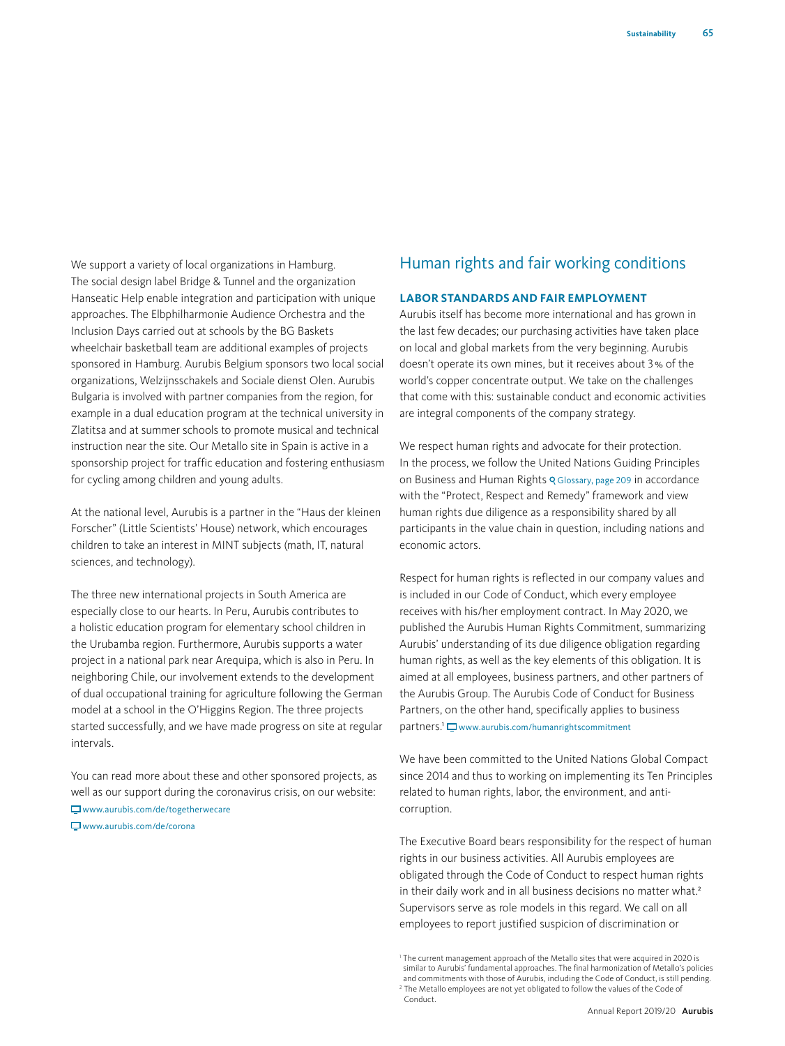We support a variety of local organizations in Hamburg. The social design label Bridge & Tunnel and the organization Hanseatic Help enable integration and participation with unique approaches. The Elbphilharmonie Audience Orchestra and the Inclusion Days carried out at schools by the BG Baskets wheelchair basketball team are additional examples of projects sponsored in Hamburg. Aurubis Belgium sponsors two local social organizations, Welzijnsschakels and Sociale dienst Olen. Aurubis Bulgaria is involved with partner companies from the region, for example in a dual education program at the technical university in Zlatitsa and at summer schools to promote musical and technical instruction near the site. Our Metallo site in Spain is active in a sponsorship project for traffic education and fostering enthusiasm for cycling among children and young adults.

At the national level, Aurubis is a partner in the "Haus der kleinen Forscher" (Little Scientists' House) network, which encourages children to take an interest in MINT subjects (math, IT, natural sciences, and technology).

The three new international projects in South America are especially close to our hearts. In Peru, Aurubis contributes to a holistic education program for elementary school children in the Urubamba region. Furthermore, Aurubis supports a water project in a national park near Arequipa, which is also in Peru. In neighboring Chile, our involvement extends to the development of dual occupational training for agriculture following the German model at a school in the O'Higgins Region. The three projects started successfully, and we have made progress on site at regular intervals.

You can read more about these and other sponsored projects, as well as our support during the coronavirus crisis, on our website:

www.aurubis.com/de/togetherwecare

www.aurubis.com/de/corona

# Human rights and fair working conditions

## **LABOR STANDARDS AND FAIR EMPLOYMENT**

Aurubis itself has become more international and has grown in the last few decades; our purchasing activities have taken place on local and global markets from the very beginning. Aurubis doesn't operate its own mines, but it receives about 3% of the world's copper concentrate output. We take on the challenges that come with this: sustainable conduct and economic activities are integral components of the company strategy.

We respect human rights and advocate for their protection. In the process, we follow the United Nations Guiding Principles on Business and Human Rights & Glossary, page 209 in accordance with the "Protect, Respect and Remedy" framework and view human rights due diligence as a responsibility shared by all participants in the value chain in question, including nations and economic actors.

Respect for human rights is reflected in our company values and is included in our Code of Conduct, which every employee receives with his/her employment contract. In May 2020, we published the Aurubis Human Rights Commitment, summarizing Aurubis' understanding of its due diligence obligation regarding human rights, as well as the key elements of this obligation. It is aimed at all employees, business partners, and other partners of the Aurubis Group. The Aurubis Code of Conduct for Business Partners, on the other hand, specifically applies to business partners.<sup>1</sup>  $\Box$  www.aurubis.com/humanrightscommitment

We have been committed to the United Nations Global Compact since 2014 and thus to working on implementing its Ten Principles related to human rights, labor, the environment, and anticorruption.

The Executive Board bears responsibility for the respect of human rights in our business activities. All Aurubis employees are obligated through the Code of Conduct to respect human rights in their daily work and in all business decisions no matter what.<sup>2</sup> Supervisors serve as role models in this regard. We call on all employees to report justified suspicion of discrimination or

Conduct.

<sup>&</sup>lt;sup>1</sup> The current management approach of the Metallo sites that were acquired in 2020 is similar to Aurubis' fundamental approaches. The final harmonization of Metallo's policies and commitments with those of Aurubis, including the Code of Conduct, is still pending<br><sup>2</sup> The Metallo employees are not yet obligated to follow the values of the Code of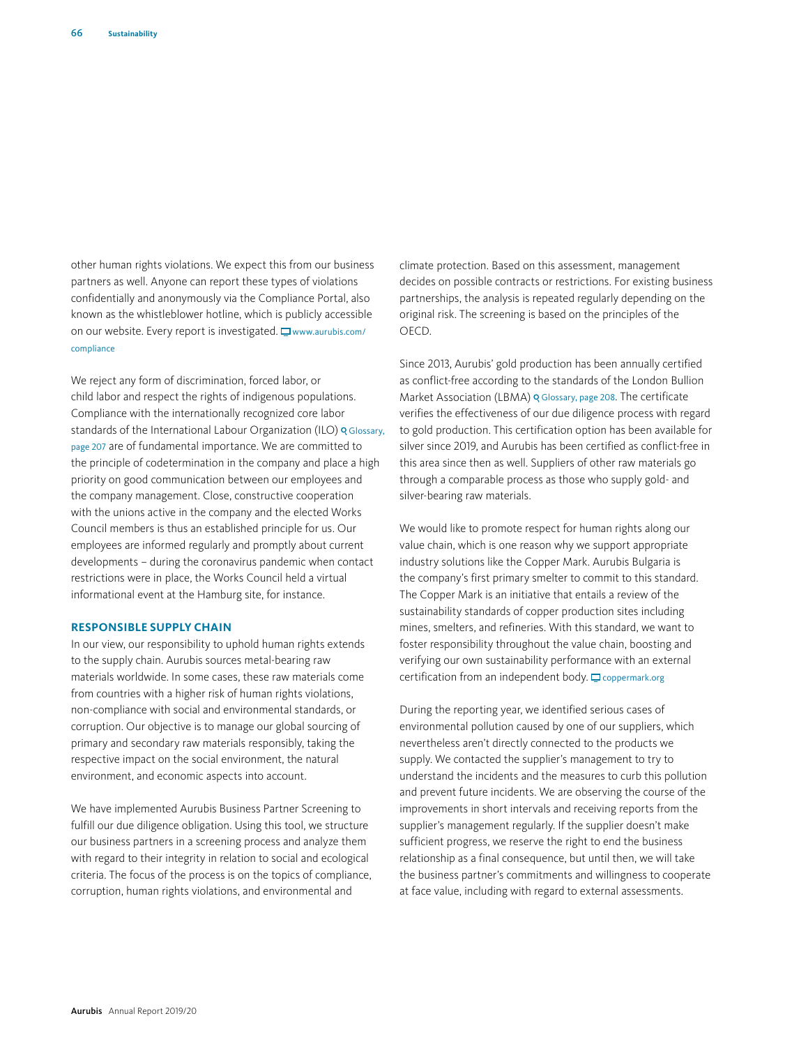other human rights violations. We expect this from our business partners as well. Anyone can report these types of violations confidentially and anonymously via the Compliance Portal, also known as the whistleblower hotline, which is publicly accessible on our website. Every report is investigated.  $\Box$  www.aurubis.com/ compliance

We reject any form of discrimination, forced labor, or child labor and respect the rights of indigenous populations. Compliance with the internationally recognized core labor standards of the International Labour Organization (ILO) o Glossary, page 207 are of fundamental importance. We are committed to the principle of codetermination in the company and place a high priority on good communication between our employees and the company management. Close, constructive cooperation with the unions active in the company and the elected Works Council members is thus an established principle for us. Our employees are informed regularly and promptly about current developments – during the coronavirus pandemic when contact restrictions were in place, the Works Council held a virtual informational event at the Hamburg site, for instance.

#### **RESPONSIBLE SUPPLY CHAIN**

In our view, our responsibility to uphold human rights extends to the supply chain. Aurubis sources metal-bearing raw materials worldwide. In some cases, these raw materials come from countries with a higher risk of human rights violations, non-compliance with social and environmental standards, or corruption. Our objective is to manage our global sourcing of primary and secondary raw materials responsibly, taking the respective impact on the social environment, the natural environment, and economic aspects into account.

We have implemented Aurubis Business Partner Screening to fulfill our due diligence obligation. Using this tool, we structure our business partners in a screening process and analyze them with regard to their integrity in relation to social and ecological criteria. The focus of the process is on the topics of compliance, corruption, human rights violations, and environmental and

climate protection. Based on this assessment, management decides on possible contracts or restrictions. For existing business partnerships, the analysis is repeated regularly depending on the original risk. The screening is based on the principles of the OECD.

Since 2013, Aurubis' gold production has been annually certified as conflict-free according to the standards of the London Bullion Market Association (LBMA) o Glossary, page 208. The certificate verifies the effectiveness of our due diligence process with regard to gold production. This certification option has been available for silver since 2019, and Aurubis has been certified as conflict-free in this area since then as well. Suppliers of other raw materials go through a comparable process as those who supply gold- and silver-bearing raw materials.

We would like to promote respect for human rights along our value chain, which is one reason why we support appropriate industry solutions like the Copper Mark. Aurubis Bulgaria is the company's first primary smelter to commit to this standard. The Copper Mark is an initiative that entails a review of the sustainability standards of copper production sites including mines, smelters, and refineries. With this standard, we want to foster responsibility throughout the value chain, boosting and verifying our own sustainability performance with an external certification from an independent body.  $\Box$  coppermark.org

During the reporting year, we identified serious cases of environmental pollution caused by one of our suppliers, which nevertheless aren't directly connected to the products we supply. We contacted the supplier's management to try to understand the incidents and the measures to curb this pollution and prevent future incidents. We are observing the course of the improvements in short intervals and receiving reports from the supplier's management regularly. If the supplier doesn't make sufficient progress, we reserve the right to end the business relationship as a final consequence, but until then, we will take the business partner's commitments and willingness to cooperate at face value, including with regard to external assessments.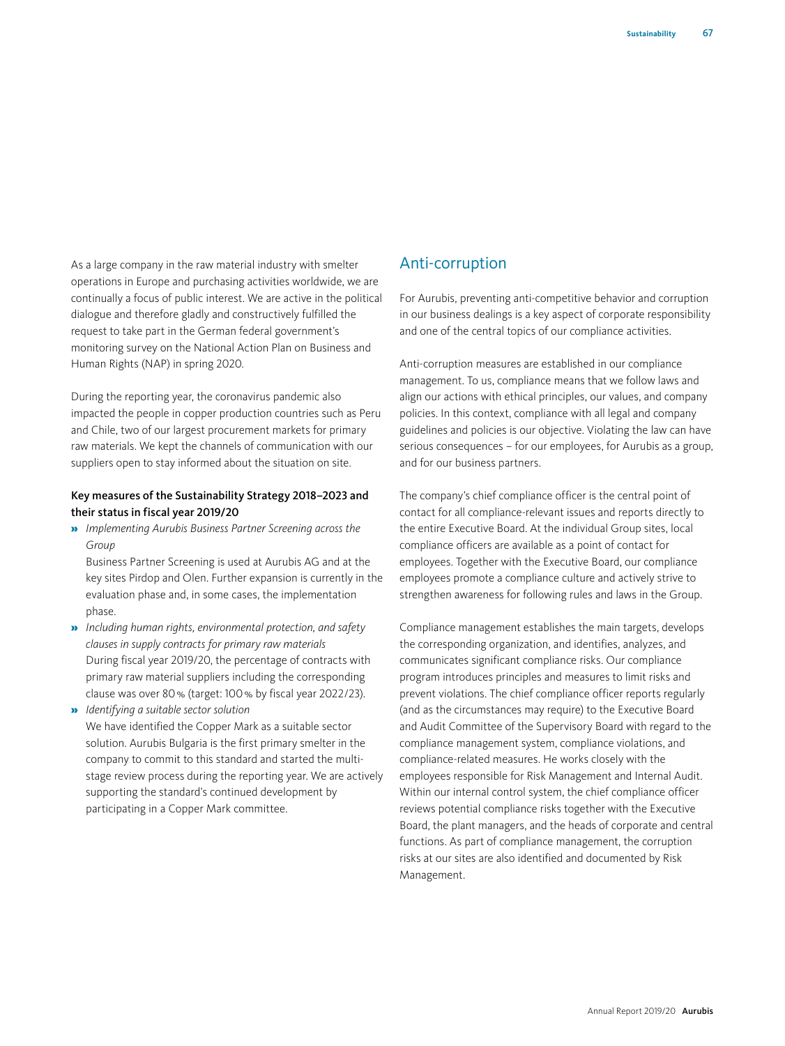As a large company in the raw material industry with smelter operations in Europe and purchasing activities worldwide, we are continually a focus of public interest. We are active in the political dialogue and therefore gladly and constructively fulfilled the request to take part in the German federal government's monitoring survey on the National Action Plan on Business and Human Rights (NAP) in spring 2020.

During the reporting year, the coronavirus pandemic also impacted the people in copper production countries such as Peru and Chile, two of our largest procurement markets for primary raw materials. We kept the channels of communication with our suppliers open to stay informed about the situation on site.

## Key measures of the Sustainability Strategy 2018–2023 and their status in fiscal year 2019/20

» *Implementing Aurubis Business Partner Screening across the Group* 

Business Partner Screening is used at Aurubis AG and at the key sites Pirdop and Olen. Further expansion is currently in the evaluation phase and, in some cases, the implementation phase.

- » *Including human rights, environmental protection, and safety clauses in supply contracts for primary raw materials* During fiscal year 2019/20, the percentage of contracts with primary raw material suppliers including the corresponding clause was over 80% (target: 100% by fiscal year 2022/23).
- » *Identifying a suitable sector solution* We have identified the Copper Mark as a suitable sector solution. Aurubis Bulgaria is the first primary smelter in the company to commit to this standard and started the multistage review process during the reporting year. We are actively supporting the standard's continued development by participating in a Copper Mark committee.

# Anti-corruption

For Aurubis, preventing anti-competitive behavior and corruption in our business dealings is a key aspect of corporate responsibility and one of the central topics of our compliance activities.

Anti-corruption measures are established in our compliance management. To us, compliance means that we follow laws and align our actions with ethical principles, our values, and company policies. In this context, compliance with all legal and company guidelines and policies is our objective. Violating the law can have serious consequences – for our employees, for Aurubis as a group, and for our business partners.

The company's chief compliance officer is the central point of contact for all compliance-relevant issues and reports directly to the entire Executive Board. At the individual Group sites, local compliance officers are available as a point of contact for employees. Together with the Executive Board, our compliance employees promote a compliance culture and actively strive to strengthen awareness for following rules and laws in the Group.

Compliance management establishes the main targets, develops the corresponding organization, and identifies, analyzes, and communicates significant compliance risks. Our compliance program introduces principles and measures to limit risks and prevent violations. The chief compliance officer reports regularly (and as the circumstances may require) to the Executive Board and Audit Committee of the Supervisory Board with regard to the compliance management system, compliance violations, and compliance-related measures. He works closely with the employees responsible for Risk Management and Internal Audit. Within our internal control system, the chief compliance officer reviews potential compliance risks together with the Executive Board, the plant managers, and the heads of corporate and central functions. As part of compliance management, the corruption risks at our sites are also identified and documented by Risk Management.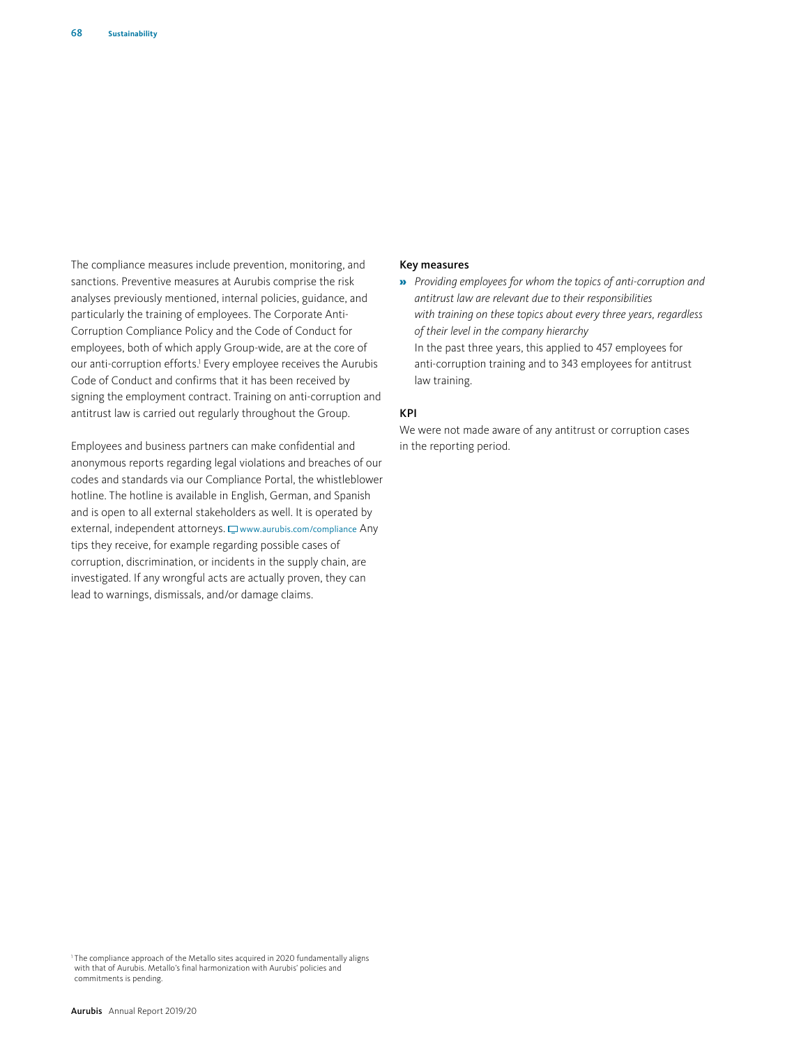The compliance measures include prevention, monitoring, and sanctions. Preventive measures at Aurubis comprise the risk analyses previously mentioned, internal policies, guidance, and particularly the training of employees. The Corporate Anti-Corruption Compliance Policy and the Code of Conduct for employees, both of which apply Group-wide, are at the core of our anti-corruption efforts.<sup>1</sup> Every employee receives the Aurubis Code of Conduct and confirms that it has been received by signing the employment contract. Training on anti-corruption and antitrust law is carried out regularly throughout the Group.

Employees and business partners can make confidential and anonymous reports regarding legal violations and breaches of our codes and standards via our Compliance Portal, the whistleblower hotline. The hotline is available in English, German, and Spanish and is open to all external stakeholders as well. It is operated by external, independent attorneys.  $\Box$  www.aurubis.com/compliance Any tips they receive, for example regarding possible cases of corruption, discrimination, or incidents in the supply chain, are investigated. If any wrongful acts are actually proven, they can lead to warnings, dismissals, and/or damage claims.

#### Key measures

» *Providing employees for whom the topics of anti-corruption and antitrust law are relevant due to their responsibilities with training on these topics about every three years, regardless of their level in the company hierarchy* In the past three years, this applied to 457 employees for anti-corruption training and to 343 employees for antitrust law training.

## KPI

We were not made aware of any antitrust or corruption cases in the reporting period.

<sup>&</sup>lt;sup>1</sup> The compliance approach of the Metallo sites acquired in 2020 fundamentally aligns with that of Aurubis. Metallo's final harmonization with Aurubis' policies and commitments is pending.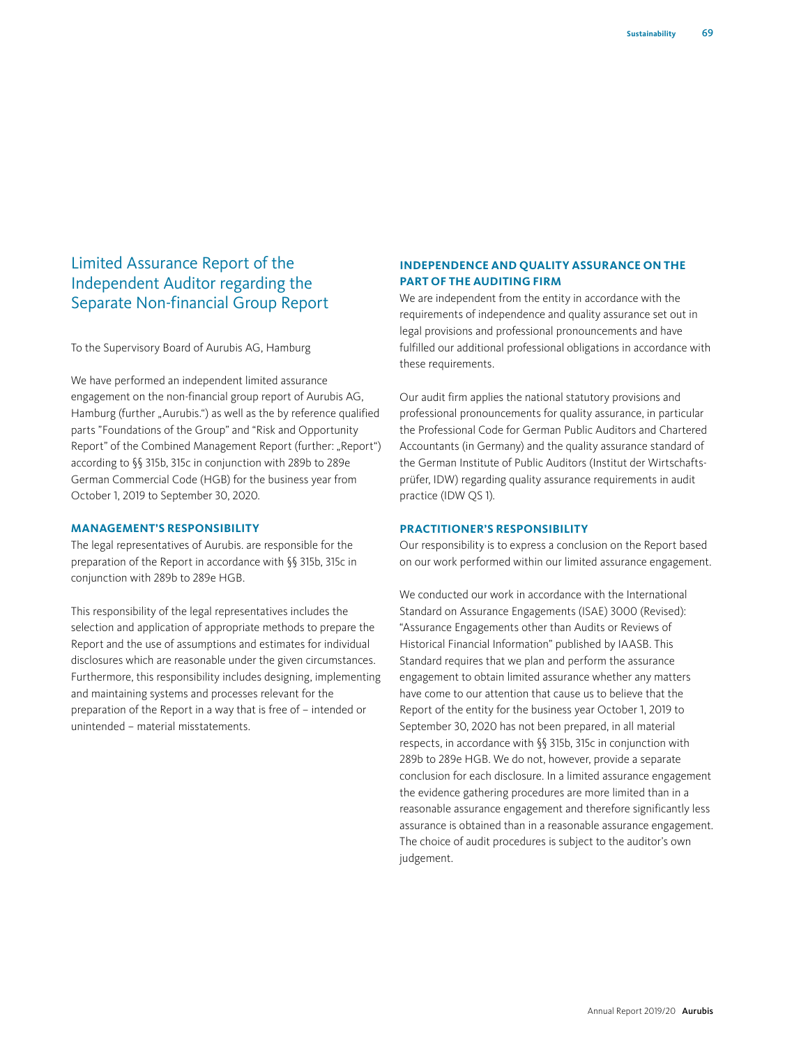# Limited Assurance Report of the Independent Auditor regarding the Separate Non-financial Group Report

To the Supervisory Board of Aurubis AG, Hamburg

We have performed an independent limited assurance engagement on the non-financial group report of Aurubis AG, Hamburg (further "Aurubis.") as well as the by reference qualified parts "Foundations of the Group" and "Risk and Opportunity Report" of the Combined Management Report (further: "Report") according to §§ 315b, 315c in conjunction with 289b to 289e German Commercial Code (HGB) for the business year from October 1, 2019 to September 30, 2020.

#### **MANAGEMENT'S RESPONSIBILITY**

The legal representatives of Aurubis. are responsible for the preparation of the Report in accordance with §§ 315b, 315c in conjunction with 289b to 289e HGB.

This responsibility of the legal representatives includes the selection and application of appropriate methods to prepare the Report and the use of assumptions and estimates for individual disclosures which are reasonable under the given circumstances. Furthermore, this responsibility includes designing, implementing and maintaining systems and processes relevant for the preparation of the Report in a way that is free of – intended or unintended – material misstatements.

## **INDEPENDENCE AND QUALITY ASSURANCE ON THE PART OF THE AUDITING FIRM**

We are independent from the entity in accordance with the requirements of independence and quality assurance set out in legal provisions and professional pronouncements and have fulfilled our additional professional obligations in accordance with these requirements.

Our audit firm applies the national statutory provisions and professional pronouncements for quality assurance, in particular the Professional Code for German Public Auditors and Chartered Accountants (in Germany) and the quality assurance standard of the German Institute of Public Auditors (Institut der Wirtschaftsprüfer, IDW) regarding quality assurance requirements in audit practice (IDW QS 1).

## **PRACTITIONER'S RESPONSIBILITY**

Our responsibility is to express a conclusion on the Report based on our work performed within our limited assurance engagement.

We conducted our work in accordance with the International Standard on Assurance Engagements (ISAE) 3000 (Revised): "Assurance Engagements other than Audits or Reviews of Historical Financial Information" published by IAASB. This Standard requires that we plan and perform the assurance engagement to obtain limited assurance whether any matters have come to our attention that cause us to believe that the Report of the entity for the business year October 1, 2019 to September 30, 2020 has not been prepared, in all material respects, in accordance with §§ 315b, 315c in conjunction with 289b to 289e HGB. We do not, however, provide a separate conclusion for each disclosure. In a limited assurance engagement the evidence gathering procedures are more limited than in a reasonable assurance engagement and therefore significantly less assurance is obtained than in a reasonable assurance engagement. The choice of audit procedures is subject to the auditor's own judgement.